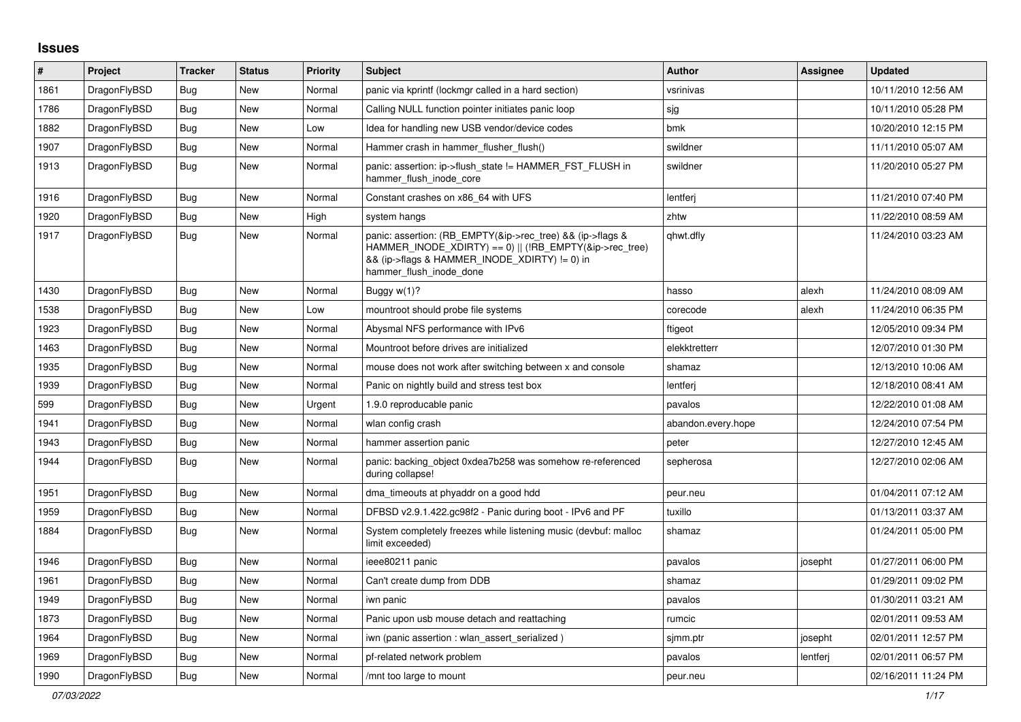## **Issues**

| #    | Project      | <b>Tracker</b> | <b>Status</b> | <b>Priority</b> | <b>Subject</b>                                                                                                                                                                                    | <b>Author</b>      | Assignee | <b>Updated</b>      |
|------|--------------|----------------|---------------|-----------------|---------------------------------------------------------------------------------------------------------------------------------------------------------------------------------------------------|--------------------|----------|---------------------|
| 1861 | DragonFlyBSD | Bug            | New           | Normal          | panic via kprintf (lockmgr called in a hard section)                                                                                                                                              | vsrinivas          |          | 10/11/2010 12:56 AM |
| 1786 | DragonFlyBSD | <b>Bug</b>     | New           | Normal          | Calling NULL function pointer initiates panic loop                                                                                                                                                | sjg                |          | 10/11/2010 05:28 PM |
| 1882 | DragonFlyBSD | <b>Bug</b>     | New           | Low             | Idea for handling new USB vendor/device codes                                                                                                                                                     | bmk                |          | 10/20/2010 12:15 PM |
| 1907 | DragonFlyBSD | <b>Bug</b>     | New           | Normal          | Hammer crash in hammer flusher flush()                                                                                                                                                            | swildner           |          | 11/11/2010 05:07 AM |
| 1913 | DragonFlyBSD | Bug            | New           | Normal          | panic: assertion: ip->flush_state != HAMMER_FST_FLUSH in<br>hammer flush inode core                                                                                                               | swildner           |          | 11/20/2010 05:27 PM |
| 1916 | DragonFlyBSD | <b>Bug</b>     | <b>New</b>    | Normal          | Constant crashes on x86 64 with UFS                                                                                                                                                               | lentferj           |          | 11/21/2010 07:40 PM |
| 1920 | DragonFlyBSD | <b>Bug</b>     | New           | High            | system hangs                                                                                                                                                                                      | zhtw               |          | 11/22/2010 08:59 AM |
| 1917 | DragonFlyBSD | Bug            | New           | Normal          | panic: assertion: (RB EMPTY(&ip->rec tree) && (ip->flags &<br>HAMMER INODE XDIRTY) == 0)    (!RB EMPTY(&ip->rec tree)<br>&& (ip->flags & HAMMER_INODE_XDIRTY) != 0) in<br>hammer flush inode done | qhwt.dfly          |          | 11/24/2010 03:23 AM |
| 1430 | DragonFlyBSD | <b>Bug</b>     | New           | Normal          | Buggy w(1)?                                                                                                                                                                                       | hasso              | alexh    | 11/24/2010 08:09 AM |
| 1538 | DragonFlyBSD | <b>Bug</b>     | New           | Low             | mountroot should probe file systems                                                                                                                                                               | corecode           | alexh    | 11/24/2010 06:35 PM |
| 1923 | DragonFlyBSD | <b>Bug</b>     | New           | Normal          | Abysmal NFS performance with IPv6                                                                                                                                                                 | ftigeot            |          | 12/05/2010 09:34 PM |
| 1463 | DragonFlyBSD | Bug            | New           | Normal          | Mountroot before drives are initialized                                                                                                                                                           | elekktretterr      |          | 12/07/2010 01:30 PM |
| 1935 | DragonFlyBSD | <b>Bug</b>     | New           | Normal          | mouse does not work after switching between x and console                                                                                                                                         | shamaz             |          | 12/13/2010 10:06 AM |
| 1939 | DragonFlyBSD | <b>Bug</b>     | New           | Normal          | Panic on nightly build and stress test box                                                                                                                                                        | lentferj           |          | 12/18/2010 08:41 AM |
| 599  | DragonFlyBSD | Bug            | New           | Urgent          | 1.9.0 reproducable panic                                                                                                                                                                          | pavalos            |          | 12/22/2010 01:08 AM |
| 1941 | DragonFlyBSD | <b>Bug</b>     | New           | Normal          | wlan config crash                                                                                                                                                                                 | abandon.every.hope |          | 12/24/2010 07:54 PM |
| 1943 | DragonFlyBSD | <b>Bug</b>     | <b>New</b>    | Normal          | hammer assertion panic                                                                                                                                                                            | peter              |          | 12/27/2010 12:45 AM |
| 1944 | DragonFlyBSD | Bug            | New           | Normal          | panic: backing_object 0xdea7b258 was somehow re-referenced<br>during collapse!                                                                                                                    | sepherosa          |          | 12/27/2010 02:06 AM |
| 1951 | DragonFlyBSD | <b>Bug</b>     | <b>New</b>    | Normal          | dma_timeouts at phyaddr on a good hdd                                                                                                                                                             | peur.neu           |          | 01/04/2011 07:12 AM |
| 1959 | DragonFlyBSD | <b>Bug</b>     | New           | Normal          | DFBSD v2.9.1.422.gc98f2 - Panic during boot - IPv6 and PF                                                                                                                                         | tuxillo            |          | 01/13/2011 03:37 AM |
| 1884 | DragonFlyBSD | Bug            | New           | Normal          | System completely freezes while listening music (devbuf: malloc<br>limit exceeded)                                                                                                                | shamaz             |          | 01/24/2011 05:00 PM |
| 1946 | DragonFlyBSD | <b>Bug</b>     | <b>New</b>    | Normal          | ieee80211 panic                                                                                                                                                                                   | pavalos            | josepht  | 01/27/2011 06:00 PM |
| 1961 | DragonFlyBSD | Bug            | New           | Normal          | Can't create dump from DDB                                                                                                                                                                        | shamaz             |          | 01/29/2011 09:02 PM |
| 1949 | DragonFlyBSD | <b>Bug</b>     | New           | Normal          | iwn panic                                                                                                                                                                                         | pavalos            |          | 01/30/2011 03:21 AM |
| 1873 | DragonFlyBSD | Bug            | New           | Normal          | Panic upon usb mouse detach and reattaching                                                                                                                                                       | rumcic             |          | 02/01/2011 09:53 AM |
| 1964 | DragonFlyBSD | Bug            | New           | Normal          | iwn (panic assertion : wlan assert serialized)                                                                                                                                                    | sjmm.ptr           | josepht  | 02/01/2011 12:57 PM |
| 1969 | DragonFlyBSD | <b>Bug</b>     | New           | Normal          | pf-related network problem                                                                                                                                                                        | pavalos            | lentferj | 02/01/2011 06:57 PM |
| 1990 | DragonFlyBSD | Bug            | New           | Normal          | /mnt too large to mount                                                                                                                                                                           | peur.neu           |          | 02/16/2011 11:24 PM |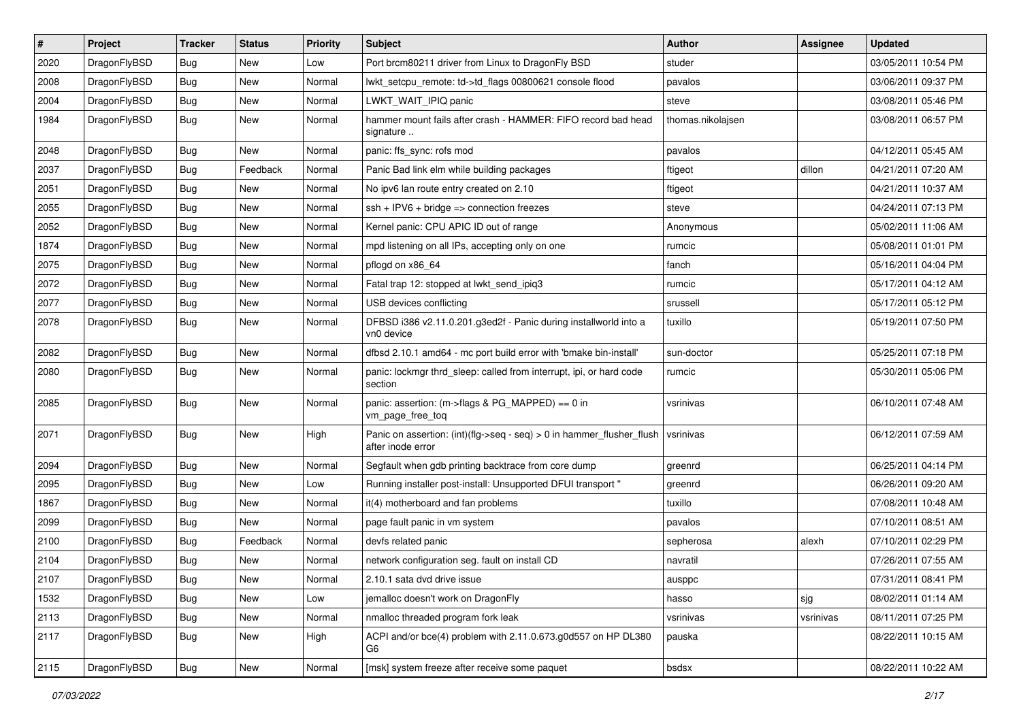| $\sharp$ | Project      | <b>Tracker</b> | <b>Status</b> | <b>Priority</b> | Subject                                                                                       | <b>Author</b>     | Assignee  | <b>Updated</b>      |
|----------|--------------|----------------|---------------|-----------------|-----------------------------------------------------------------------------------------------|-------------------|-----------|---------------------|
| 2020     | DragonFlyBSD | <b>Bug</b>     | New           | Low             | Port brcm80211 driver from Linux to DragonFly BSD                                             | studer            |           | 03/05/2011 10:54 PM |
| 2008     | DragonFlyBSD | Bug            | New           | Normal          | lwkt_setcpu_remote: td->td_flags 00800621 console flood                                       | pavalos           |           | 03/06/2011 09:37 PM |
| 2004     | DragonFlyBSD | <b>Bug</b>     | New           | Normal          | LWKT WAIT IPIQ panic                                                                          | steve             |           | 03/08/2011 05:46 PM |
| 1984     | DragonFlyBSD | Bug            | New           | Normal          | hammer mount fails after crash - HAMMER: FIFO record bad head<br>signature                    | thomas.nikolajsen |           | 03/08/2011 06:57 PM |
| 2048     | DragonFlyBSD | Bug            | New           | Normal          | panic: ffs_sync: rofs mod                                                                     | pavalos           |           | 04/12/2011 05:45 AM |
| 2037     | DragonFlyBSD | <b>Bug</b>     | Feedback      | Normal          | Panic Bad link elm while building packages                                                    | ftigeot           | dillon    | 04/21/2011 07:20 AM |
| 2051     | DragonFlyBSD | <b>Bug</b>     | New           | Normal          | No ipv6 lan route entry created on 2.10                                                       | ftigeot           |           | 04/21/2011 10:37 AM |
| 2055     | DragonFlyBSD | <b>Bug</b>     | New           | Normal          | $ssh + IPV6 + bridge \Rightarrow$ connection freezes                                          | steve             |           | 04/24/2011 07:13 PM |
| 2052     | DragonFlyBSD | Bug            | <b>New</b>    | Normal          | Kernel panic: CPU APIC ID out of range                                                        | Anonymous         |           | 05/02/2011 11:06 AM |
| 1874     | DragonFlyBSD | <b>Bug</b>     | New           | Normal          | mpd listening on all IPs, accepting only on one                                               | rumcic            |           | 05/08/2011 01:01 PM |
| 2075     | DragonFlyBSD | <b>Bug</b>     | New           | Normal          | pflogd on x86_64                                                                              | fanch             |           | 05/16/2011 04:04 PM |
| 2072     | DragonFlyBSD | <b>Bug</b>     | New           | Normal          | Fatal trap 12: stopped at lwkt send ipig3                                                     | rumcic            |           | 05/17/2011 04:12 AM |
| 2077     | DragonFlyBSD | <b>Bug</b>     | <b>New</b>    | Normal          | USB devices conflicting                                                                       | srussell          |           | 05/17/2011 05:12 PM |
| 2078     | DragonFlyBSD | <b>Bug</b>     | New           | Normal          | DFBSD i386 v2.11.0.201.g3ed2f - Panic during installworld into a<br>vn0 device                | tuxillo           |           | 05/19/2011 07:50 PM |
| 2082     | DragonFlyBSD | Bug            | New           | Normal          | dfbsd 2.10.1 amd64 - mc port build error with 'bmake bin-install'                             | sun-doctor        |           | 05/25/2011 07:18 PM |
| 2080     | DragonFlyBSD | Bug            | New           | Normal          | panic: lockmgr thrd_sleep: called from interrupt, ipi, or hard code<br>section                | rumcic            |           | 05/30/2011 05:06 PM |
| 2085     | DragonFlyBSD | Bug            | New           | Normal          | panic: assertion: (m->flags & PG_MAPPED) == $0$ in<br>vm_page_free_toq                        | vsrinivas         |           | 06/10/2011 07:48 AM |
| 2071     | DragonFlyBSD | Bug            | New           | High            | Panic on assertion: $(int)(flag->seq - seq) > 0$ in hammer flusher flush<br>after inode error | vsrinivas         |           | 06/12/2011 07:59 AM |
| 2094     | DragonFlyBSD | <b>Bug</b>     | New           | Normal          | Segfault when gdb printing backtrace from core dump                                           | greenrd           |           | 06/25/2011 04:14 PM |
| 2095     | DragonFlyBSD | <b>Bug</b>     | New           | Low             | Running installer post-install: Unsupported DFUI transport "                                  | greenrd           |           | 06/26/2011 09:20 AM |
| 1867     | DragonFlyBSD | Bug            | <b>New</b>    | Normal          | it(4) motherboard and fan problems                                                            | tuxillo           |           | 07/08/2011 10:48 AM |
| 2099     | DragonFlyBSD | Bug            | New           | Normal          | page fault panic in vm system                                                                 | pavalos           |           | 07/10/2011 08:51 AM |
| 2100     | DragonFlyBSD | <b>Bug</b>     | Feedback      | Normal          | devfs related panic                                                                           | sepherosa         | alexh     | 07/10/2011 02:29 PM |
| 2104     | DragonFlyBSD | <b>Bug</b>     | New           | Normal          | network configuration seg. fault on install CD                                                | navratil          |           | 07/26/2011 07:55 AM |
| 2107     | DragonFlyBSD | <b>Bug</b>     | New           | Normal          | 2.10.1 sata dvd drive issue                                                                   | ausppc            |           | 07/31/2011 08:41 PM |
| 1532     | DragonFlyBSD | <b>Bug</b>     | New           | Low             | jemalloc doesn't work on DragonFly                                                            | hasso             | sjg       | 08/02/2011 01:14 AM |
| 2113     | DragonFlyBSD | <b>Bug</b>     | New           | Normal          | nmalloc threaded program fork leak                                                            | vsrinivas         | vsrinivas | 08/11/2011 07:25 PM |
| 2117     | DragonFlyBSD | <b>Bug</b>     | New           | High            | ACPI and/or bce(4) problem with 2.11.0.673.g0d557 on HP DL380<br>G6                           | pauska            |           | 08/22/2011 10:15 AM |
| 2115     | DragonFlyBSD | <b>Bug</b>     | New           | Normal          | [msk] system freeze after receive some paquet                                                 | bsdsx             |           | 08/22/2011 10:22 AM |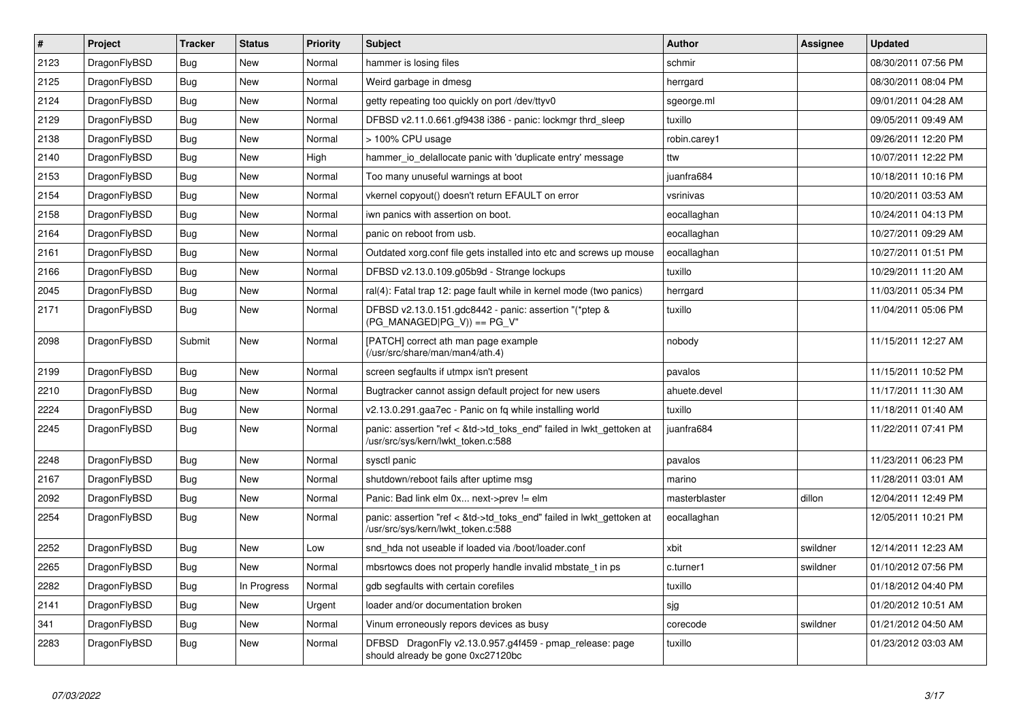| $\vert$ # | <b>Project</b> | <b>Tracker</b> | <b>Status</b> | <b>Priority</b> | <b>Subject</b>                                                                                             | <b>Author</b> | <b>Assignee</b> | <b>Updated</b>      |
|-----------|----------------|----------------|---------------|-----------------|------------------------------------------------------------------------------------------------------------|---------------|-----------------|---------------------|
| 2123      | DragonFlyBSD   | Bug            | <b>New</b>    | Normal          | hammer is losing files                                                                                     | schmir        |                 | 08/30/2011 07:56 PM |
| 2125      | DragonFlyBSD   | Bug            | <b>New</b>    | Normal          | Weird garbage in dmesg                                                                                     | herrgard      |                 | 08/30/2011 08:04 PM |
| 2124      | DragonFlyBSD   | Bug            | New           | Normal          | getty repeating too quickly on port /dev/ttyv0                                                             | sgeorge.ml    |                 | 09/01/2011 04:28 AM |
| 2129      | DragonFlyBSD   | Bug            | New           | Normal          | DFBSD v2.11.0.661.gf9438 i386 - panic: lockmgr thrd sleep                                                  | tuxillo       |                 | 09/05/2011 09:49 AM |
| 2138      | DragonFlyBSD   | Bug            | New           | Normal          | > 100% CPU usage                                                                                           | robin.carey1  |                 | 09/26/2011 12:20 PM |
| 2140      | DragonFlyBSD   | <b>Bug</b>     | <b>New</b>    | High            | hammer io delallocate panic with 'duplicate entry' message                                                 | ttw           |                 | 10/07/2011 12:22 PM |
| 2153      | DragonFlyBSD   | Bug            | <b>New</b>    | Normal          | Too many unuseful warnings at boot                                                                         | juanfra684    |                 | 10/18/2011 10:16 PM |
| 2154      | DragonFlyBSD   | Bug            | New           | Normal          | vkernel copyout() doesn't return EFAULT on error                                                           | vsrinivas     |                 | 10/20/2011 03:53 AM |
| 2158      | DragonFlyBSD   | Bug            | <b>New</b>    | Normal          | iwn panics with assertion on boot.                                                                         | eocallaghan   |                 | 10/24/2011 04:13 PM |
| 2164      | DragonFlyBSD   | <b>Bug</b>     | <b>New</b>    | Normal          | panic on reboot from usb.                                                                                  | eocallaghan   |                 | 10/27/2011 09:29 AM |
| 2161      | DragonFlyBSD   | Bug            | <b>New</b>    | Normal          | Outdated xorg.conf file gets installed into etc and screws up mouse                                        | eocallaghan   |                 | 10/27/2011 01:51 PM |
| 2166      | DragonFlyBSD   | Bug            | <b>New</b>    | Normal          | DFBSD v2.13.0.109.g05b9d - Strange lockups                                                                 | tuxillo       |                 | 10/29/2011 11:20 AM |
| 2045      | DragonFlyBSD   | <b>Bug</b>     | <b>New</b>    | Normal          | ral(4): Fatal trap 12: page fault while in kernel mode (two panics)                                        | herrgard      |                 | 11/03/2011 05:34 PM |
| 2171      | DragonFlyBSD   | <b>Bug</b>     | <b>New</b>    | Normal          | DFBSD v2.13.0.151.gdc8442 - panic: assertion "(*ptep &<br>(PG MANAGED PG V)) == PG V"                      | tuxillo       |                 | 11/04/2011 05:06 PM |
| 2098      | DragonFlyBSD   | Submit         | New           | Normal          | [PATCH] correct ath man page example<br>(/usr/src/share/man/man4/ath.4)                                    | nobody        |                 | 11/15/2011 12:27 AM |
| 2199      | DragonFlyBSD   | <b>Bug</b>     | <b>New</b>    | Normal          | screen segfaults if utmpx isn't present                                                                    | pavalos       |                 | 11/15/2011 10:52 PM |
| 2210      | DragonFlyBSD   | Bug            | <b>New</b>    | Normal          | Bugtracker cannot assign default project for new users                                                     | ahuete.devel  |                 | 11/17/2011 11:30 AM |
| 2224      | DragonFlyBSD   | Bug            | New           | Normal          | v2.13.0.291.gaa7ec - Panic on fq while installing world                                                    | tuxillo       |                 | 11/18/2011 01:40 AM |
| 2245      | DragonFlyBSD   | <b>Bug</b>     | New           | Normal          | panic: assertion "ref < &td->td_toks_end" failed in lwkt_gettoken at<br>/usr/src/sys/kern/lwkt_token.c:588 | juanfra684    |                 | 11/22/2011 07:41 PM |
| 2248      | DragonFlyBSD   | <b>Bug</b>     | <b>New</b>    | Normal          | sysctl panic                                                                                               | pavalos       |                 | 11/23/2011 06:23 PM |
| 2167      | DragonFlyBSD   | Bug            | <b>New</b>    | Normal          | shutdown/reboot fails after uptime msg                                                                     | marino        |                 | 11/28/2011 03:01 AM |
| 2092      | DragonFlyBSD   | Bug            | New           | Normal          | Panic: Bad link elm 0x next->prev != elm                                                                   | masterblaster | dillon          | 12/04/2011 12:49 PM |
| 2254      | DragonFlyBSD   | <b>Bug</b>     | New           | Normal          | panic: assertion "ref < &td->td toks end" failed in lwkt gettoken at<br>/usr/src/sys/kern/lwkt token.c:588 | eocallaghan   |                 | 12/05/2011 10:21 PM |
| 2252      | DragonFlyBSD   | <b>Bug</b>     | <b>New</b>    | Low             | snd hda not useable if loaded via /boot/loader.conf                                                        | xbit          | swildner        | 12/14/2011 12:23 AM |
| 2265      | DragonFlyBSD   | <b>Bug</b>     | <b>New</b>    | Normal          | mbsrtowcs does not properly handle invalid mbstate t in ps                                                 | c.turner1     | swildner        | 01/10/2012 07:56 PM |
| 2282      | DragonFlyBSD   | Bug            | In Progress   | Normal          | gdb segfaults with certain corefiles                                                                       | tuxillo       |                 | 01/18/2012 04:40 PM |
| 2141      | DragonFlyBSD   | <b>Bug</b>     | <b>New</b>    | Urgent          | loader and/or documentation broken                                                                         | sjg           |                 | 01/20/2012 10:51 AM |
| 341       | DragonFlyBSD   | Bug            | <b>New</b>    | Normal          | Vinum erroneously repors devices as busy                                                                   | corecode      | swildner        | 01/21/2012 04:50 AM |
| 2283      | DragonFlyBSD   | <b>Bug</b>     | <b>New</b>    | Normal          | DFBSD DragonFly v2.13.0.957.g4f459 - pmap_release: page<br>should already be gone 0xc27120bc               | tuxillo       |                 | 01/23/2012 03:03 AM |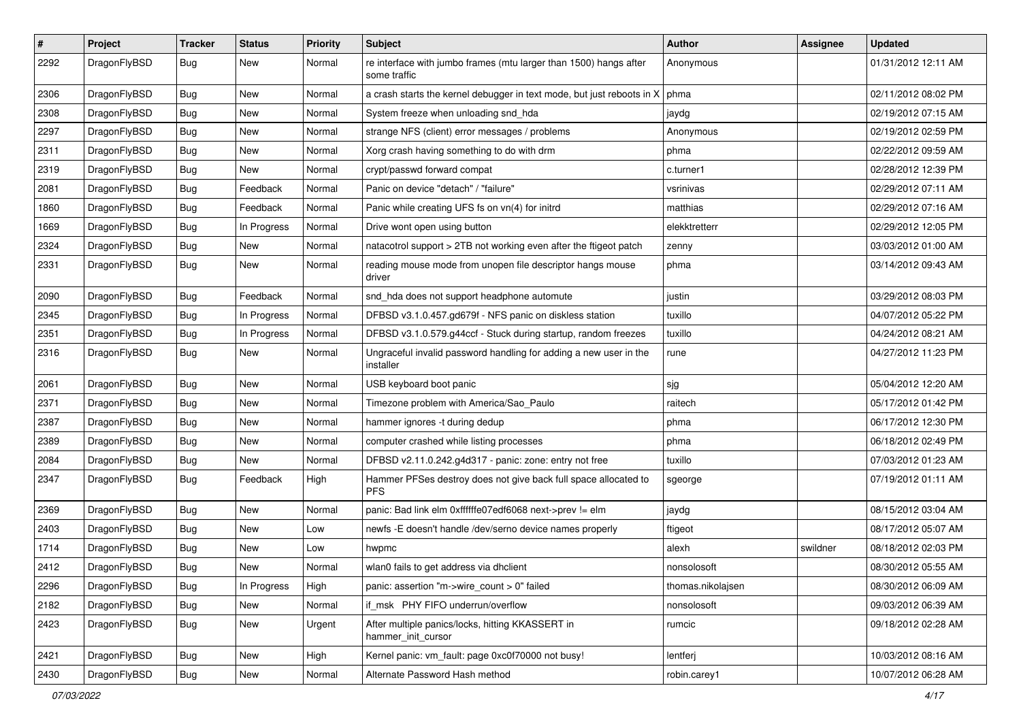| $\sharp$ | Project      | <b>Tracker</b> | <b>Status</b> | <b>Priority</b> | Subject                                                                           | Author            | Assignee | <b>Updated</b>      |
|----------|--------------|----------------|---------------|-----------------|-----------------------------------------------------------------------------------|-------------------|----------|---------------------|
| 2292     | DragonFlyBSD | Bug            | <b>New</b>    | Normal          | re interface with jumbo frames (mtu larger than 1500) hangs after<br>some traffic | Anonymous         |          | 01/31/2012 12:11 AM |
| 2306     | DragonFlyBSD | Bug            | <b>New</b>    | Normal          | a crash starts the kernel debugger in text mode, but just reboots in X            | phma              |          | 02/11/2012 08:02 PM |
| 2308     | DragonFlyBSD | <b>Bug</b>     | New           | Normal          | System freeze when unloading snd_hda                                              | jaydg             |          | 02/19/2012 07:15 AM |
| 2297     | DragonFlyBSD | <b>Bug</b>     | <b>New</b>    | Normal          | strange NFS (client) error messages / problems                                    | Anonymous         |          | 02/19/2012 02:59 PM |
| 2311     | DragonFlyBSD | <b>Bug</b>     | New           | Normal          | Xorg crash having something to do with drm                                        | phma              |          | 02/22/2012 09:59 AM |
| 2319     | DragonFlyBSD | <b>Bug</b>     | <b>New</b>    | Normal          | crypt/passwd forward compat                                                       | c.turner1         |          | 02/28/2012 12:39 PM |
| 2081     | DragonFlyBSD | Bug            | Feedback      | Normal          | Panic on device "detach" / "failure"                                              | vsrinivas         |          | 02/29/2012 07:11 AM |
| 1860     | DragonFlyBSD | <b>Bug</b>     | Feedback      | Normal          | Panic while creating UFS fs on vn(4) for initrd                                   | matthias          |          | 02/29/2012 07:16 AM |
| 1669     | DragonFlyBSD | <b>Bug</b>     | In Progress   | Normal          | Drive wont open using button                                                      | elekktretterr     |          | 02/29/2012 12:05 PM |
| 2324     | DragonFlyBSD | <b>Bug</b>     | New           | Normal          | natacotrol support > 2TB not working even after the ftigeot patch                 | zenny             |          | 03/03/2012 01:00 AM |
| 2331     | DragonFlyBSD | Bug            | New           | Normal          | reading mouse mode from unopen file descriptor hangs mouse<br>driver              | phma              |          | 03/14/2012 09:43 AM |
| 2090     | DragonFlyBSD | <b>Bug</b>     | Feedback      | Normal          | snd_hda does not support headphone automute                                       | justin            |          | 03/29/2012 08:03 PM |
| 2345     | DragonFlyBSD | <b>Bug</b>     | In Progress   | Normal          | DFBSD v3.1.0.457.gd679f - NFS panic on diskless station                           | tuxillo           |          | 04/07/2012 05:22 PM |
| 2351     | DragonFlyBSD | Bug            | In Progress   | Normal          | DFBSD v3.1.0.579.g44ccf - Stuck during startup, random freezes                    | tuxillo           |          | 04/24/2012 08:21 AM |
| 2316     | DragonFlyBSD | Bug            | New           | Normal          | Ungraceful invalid password handling for adding a new user in the<br>installer    | rune              |          | 04/27/2012 11:23 PM |
| 2061     | DragonFlyBSD | Bug            | <b>New</b>    | Normal          | USB keyboard boot panic                                                           | sjg               |          | 05/04/2012 12:20 AM |
| 2371     | DragonFlyBSD | Bug            | <b>New</b>    | Normal          | Timezone problem with America/Sao_Paulo                                           | raitech           |          | 05/17/2012 01:42 PM |
| 2387     | DragonFlyBSD | <b>Bug</b>     | New           | Normal          | hammer ignores -t during dedup                                                    | phma              |          | 06/17/2012 12:30 PM |
| 2389     | DragonFlyBSD | <b>Bug</b>     | <b>New</b>    | Normal          | computer crashed while listing processes                                          | phma              |          | 06/18/2012 02:49 PM |
| 2084     | DragonFlyBSD | <b>Bug</b>     | New           | Normal          | DFBSD v2.11.0.242.g4d317 - panic: zone: entry not free                            | tuxillo           |          | 07/03/2012 01:23 AM |
| 2347     | DragonFlyBSD | Bug            | Feedback      | High            | Hammer PFSes destroy does not give back full space allocated to<br><b>PFS</b>     | sgeorge           |          | 07/19/2012 01:11 AM |
| 2369     | DragonFlyBSD | Bug            | <b>New</b>    | Normal          | panic: Bad link elm 0xffffffe07edf6068 next->prev != elm                          | jaydg             |          | 08/15/2012 03:04 AM |
| 2403     | DragonFlyBSD | <b>Bug</b>     | New           | Low             | newfs -E doesn't handle /dev/serno device names properly                          | ftigeot           |          | 08/17/2012 05:07 AM |
| 1714     | DragonFlyBSD | <b>Bug</b>     | <b>New</b>    | Low             | hwpmc                                                                             | alexh             | swildner | 08/18/2012 02:03 PM |
| 2412     | DragonFlyBSD | <b>Bug</b>     | <b>New</b>    | Normal          | wlan0 fails to get address via dhclient                                           | nonsolosoft       |          | 08/30/2012 05:55 AM |
| 2296     | DragonFlyBSD | <b>Bug</b>     | In Progress   | High            | panic: assertion "m->wire_count > 0" failed                                       | thomas.nikolajsen |          | 08/30/2012 06:09 AM |
| 2182     | DragonFlyBSD | <b>Bug</b>     | New           | Normal          | if_msk PHY FIFO underrun/overflow                                                 | nonsolosoft       |          | 09/03/2012 06:39 AM |
| 2423     | DragonFlyBSD | <b>Bug</b>     | New           | Urgent          | After multiple panics/locks, hitting KKASSERT in<br>hammer_init_cursor            | rumcic            |          | 09/18/2012 02:28 AM |
| 2421     | DragonFlyBSD | <b>Bug</b>     | New           | High            | Kernel panic: vm_fault: page 0xc0f70000 not busy!                                 | lentferj          |          | 10/03/2012 08:16 AM |
| 2430     | DragonFlyBSD | <b>Bug</b>     | New           | Normal          | Alternate Password Hash method                                                    | robin.carey1      |          | 10/07/2012 06:28 AM |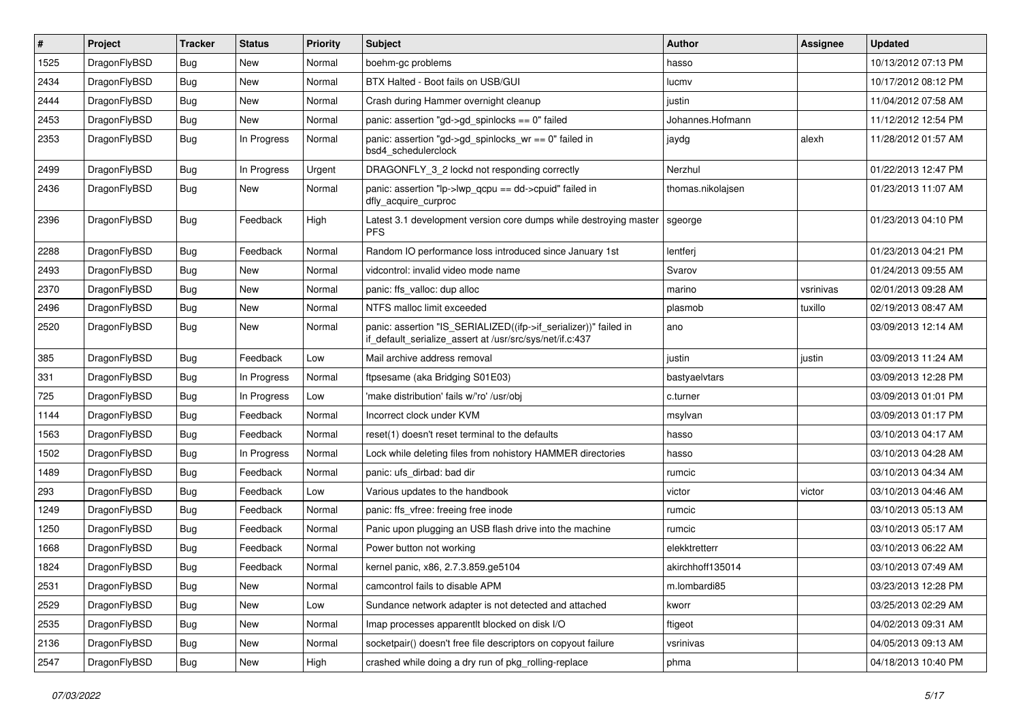| $\vert$ # | Project      | <b>Tracker</b> | <b>Status</b> | <b>Priority</b> | Subject                                                                                                                      | <b>Author</b>     | Assignee  | <b>Updated</b>      |
|-----------|--------------|----------------|---------------|-----------------|------------------------------------------------------------------------------------------------------------------------------|-------------------|-----------|---------------------|
| 1525      | DragonFlyBSD | <b>Bug</b>     | New           | Normal          | boehm-gc problems                                                                                                            | hasso             |           | 10/13/2012 07:13 PM |
| 2434      | DragonFlyBSD | <b>Bug</b>     | New           | Normal          | BTX Halted - Boot fails on USB/GUI                                                                                           | lucmv             |           | 10/17/2012 08:12 PM |
| 2444      | DragonFlyBSD | <b>Bug</b>     | New           | Normal          | Crash during Hammer overnight cleanup                                                                                        | justin            |           | 11/04/2012 07:58 AM |
| 2453      | DragonFlyBSD | <b>Bug</b>     | New           | Normal          | panic: assertion "gd->gd_spinlocks == $0$ " failed                                                                           | Johannes.Hofmann  |           | 11/12/2012 12:54 PM |
| 2353      | DragonFlyBSD | <b>Bug</b>     | In Progress   | Normal          | panic: assertion "gd->gd_spinlocks_wr == 0" failed in<br>bsd4 schedulerclock                                                 | jaydg             | alexh     | 11/28/2012 01:57 AM |
| 2499      | DragonFlyBSD | <b>Bug</b>     | In Progress   | Urgent          | DRAGONFLY_3_2 lockd not responding correctly                                                                                 | Nerzhul           |           | 01/22/2013 12:47 PM |
| 2436      | DragonFlyBSD | Bug            | New           | Normal          | panic: assertion "lp->lwp_qcpu == dd->cpuid" failed in<br>dfly_acquire_curproc                                               | thomas.nikolajsen |           | 01/23/2013 11:07 AM |
| 2396      | DragonFlyBSD | <b>Bug</b>     | Feedback      | High            | Latest 3.1 development version core dumps while destroying master<br><b>PFS</b>                                              | sgeorge           |           | 01/23/2013 04:10 PM |
| 2288      | DragonFlyBSD | <b>Bug</b>     | Feedback      | Normal          | Random IO performance loss introduced since January 1st                                                                      | lentferj          |           | 01/23/2013 04:21 PM |
| 2493      | DragonFlyBSD | <b>Bug</b>     | New           | Normal          | vidcontrol: invalid video mode name                                                                                          | Svarov            |           | 01/24/2013 09:55 AM |
| 2370      | DragonFlyBSD | <b>Bug</b>     | New           | Normal          | panic: ffs valloc: dup alloc                                                                                                 | marino            | vsrinivas | 02/01/2013 09:28 AM |
| 2496      | DragonFlyBSD | <b>Bug</b>     | New           | Normal          | NTFS malloc limit exceeded                                                                                                   | plasmob           | tuxillo   | 02/19/2013 08:47 AM |
| 2520      | DragonFlyBSD | Bug            | New           | Normal          | panic: assertion "IS_SERIALIZED((ifp->if_serializer))" failed in<br>if_default_serialize_assert at /usr/src/sys/net/if.c:437 | ano               |           | 03/09/2013 12:14 AM |
| 385       | DragonFlyBSD | <b>Bug</b>     | Feedback      | Low             | Mail archive address removal                                                                                                 | justin            | justin    | 03/09/2013 11:24 AM |
| 331       | DragonFlyBSD | <b>Bug</b>     | In Progress   | Normal          | ftpsesame (aka Bridging S01E03)                                                                                              | bastyaelvtars     |           | 03/09/2013 12:28 PM |
| 725       | DragonFlyBSD | <b>Bug</b>     | In Progress   | Low             | 'make distribution' fails w/'ro' /usr/obj                                                                                    | c.turner          |           | 03/09/2013 01:01 PM |
| 1144      | DragonFlyBSD | <b>Bug</b>     | Feedback      | Normal          | Incorrect clock under KVM                                                                                                    | msylvan           |           | 03/09/2013 01:17 PM |
| 1563      | DragonFlyBSD | <b>Bug</b>     | Feedback      | Normal          | reset(1) doesn't reset terminal to the defaults                                                                              | hasso             |           | 03/10/2013 04:17 AM |
| 1502      | DragonFlyBSD | <b>Bug</b>     | In Progress   | Normal          | Lock while deleting files from nohistory HAMMER directories                                                                  | hasso             |           | 03/10/2013 04:28 AM |
| 1489      | DragonFlyBSD | Bug            | Feedback      | Normal          | panic: ufs dirbad: bad dir                                                                                                   | rumcic            |           | 03/10/2013 04:34 AM |
| 293       | DragonFlyBSD | <b>Bug</b>     | Feedback      | Low             | Various updates to the handbook                                                                                              | victor            | victor    | 03/10/2013 04:46 AM |
| 1249      | DragonFlyBSD | <b>Bug</b>     | Feedback      | Normal          | panic: ffs_vfree: freeing free inode                                                                                         | rumcic            |           | 03/10/2013 05:13 AM |
| 1250      | DragonFlyBSD | <b>Bug</b>     | Feedback      | Normal          | Panic upon plugging an USB flash drive into the machine                                                                      | rumcic            |           | 03/10/2013 05:17 AM |
| 1668      | DragonFlyBSD | <b>Bug</b>     | Feedback      | Normal          | Power button not working                                                                                                     | elekktretterr     |           | 03/10/2013 06:22 AM |
| 1824      | DragonFlyBSD | <b>Bug</b>     | Feedback      | Normal          | kernel panic, x86, 2.7.3.859.ge5104                                                                                          | akirchhoff135014  |           | 03/10/2013 07:49 AM |
| 2531      | DragonFlyBSD | <b>Bug</b>     | New           | Normal          | camcontrol fails to disable APM                                                                                              | m.lombardi85      |           | 03/23/2013 12:28 PM |
| 2529      | DragonFlyBSD | <b>Bug</b>     | New           | Low             | Sundance network adapter is not detected and attached                                                                        | kworr             |           | 03/25/2013 02:29 AM |
| 2535      | DragonFlyBSD | <b>Bug</b>     | New           | Normal          | Imap processes apparentlt blocked on disk I/O                                                                                | ftigeot           |           | 04/02/2013 09:31 AM |
| 2136      | DragonFlyBSD | <b>Bug</b>     | New           | Normal          | socketpair() doesn't free file descriptors on copyout failure                                                                | vsrinivas         |           | 04/05/2013 09:13 AM |
| 2547      | DragonFlyBSD | <b>Bug</b>     | New           | High            | crashed while doing a dry run of pkg_rolling-replace                                                                         | phma              |           | 04/18/2013 10:40 PM |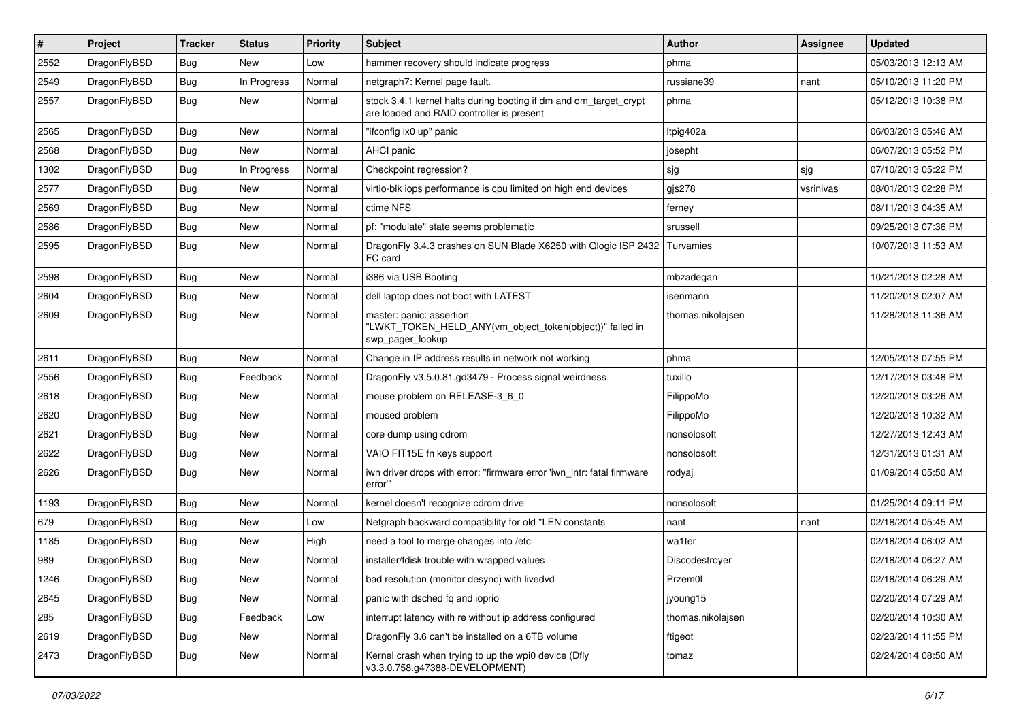| $\sharp$ | Project      | <b>Tracker</b> | <b>Status</b> | <b>Priority</b> | Subject                                                                                                        | <b>Author</b>     | Assignee  | <b>Updated</b>      |
|----------|--------------|----------------|---------------|-----------------|----------------------------------------------------------------------------------------------------------------|-------------------|-----------|---------------------|
| 2552     | DragonFlyBSD | <b>Bug</b>     | New           | Low             | hammer recovery should indicate progress                                                                       | phma              |           | 05/03/2013 12:13 AM |
| 2549     | DragonFlyBSD | Bug            | In Progress   | Normal          | netgraph7: Kernel page fault.                                                                                  | russiane39        | nant      | 05/10/2013 11:20 PM |
| 2557     | DragonFlyBSD | Bug            | New           | Normal          | stock 3.4.1 kernel halts during booting if dm and dm_target_crypt<br>are loaded and RAID controller is present | phma              |           | 05/12/2013 10:38 PM |
| 2565     | DragonFlyBSD | Bug            | <b>New</b>    | Normal          | "ifconfig ix0 up" panic                                                                                        | Itpig402a         |           | 06/03/2013 05:46 AM |
| 2568     | DragonFlyBSD | <b>Bug</b>     | New           | Normal          | AHCI panic                                                                                                     | josepht           |           | 06/07/2013 05:52 PM |
| 1302     | DragonFlyBSD | <b>Bug</b>     | In Progress   | Normal          | Checkpoint regression?                                                                                         | sjg               | sjg       | 07/10/2013 05:22 PM |
| 2577     | DragonFlyBSD | <b>Bug</b>     | New           | Normal          | virtio-blk iops performance is cpu limited on high end devices                                                 | gjs278            | vsrinivas | 08/01/2013 02:28 PM |
| 2569     | DragonFlyBSD | <b>Bug</b>     | New           | Normal          | ctime NFS                                                                                                      | ferney            |           | 08/11/2013 04:35 AM |
| 2586     | DragonFlyBSD | Bug            | <b>New</b>    | Normal          | pf: "modulate" state seems problematic                                                                         | srussell          |           | 09/25/2013 07:36 PM |
| 2595     | DragonFlyBSD | Bug            | New           | Normal          | DragonFly 3.4.3 crashes on SUN Blade X6250 with Qlogic ISP 2432<br>FC card                                     | Turvamies         |           | 10/07/2013 11:53 AM |
| 2598     | DragonFlyBSD | Bug            | <b>New</b>    | Normal          | i386 via USB Booting                                                                                           | mbzadegan         |           | 10/21/2013 02:28 AM |
| 2604     | DragonFlyBSD | <b>Bug</b>     | New           | Normal          | dell laptop does not boot with LATEST                                                                          | isenmann          |           | 11/20/2013 02:07 AM |
| 2609     | DragonFlyBSD | Bug            | New           | Normal          | master: panic: assertion<br>"LWKT_TOKEN_HELD_ANY(vm_object_token(object))" failed in<br>swp_pager_lookup       | thomas.nikolajsen |           | 11/28/2013 11:36 AM |
| 2611     | DragonFlyBSD | Bug            | New           | Normal          | Change in IP address results in network not working                                                            | phma              |           | 12/05/2013 07:55 PM |
| 2556     | DragonFlyBSD | <b>Bug</b>     | Feedback      | Normal          | DragonFly v3.5.0.81.gd3479 - Process signal weirdness                                                          | tuxillo           |           | 12/17/2013 03:48 PM |
| 2618     | DragonFlyBSD | <b>Bug</b>     | New           | Normal          | mouse problem on RELEASE-3_6_0                                                                                 | FilippoMo         |           | 12/20/2013 03:26 AM |
| 2620     | DragonFlyBSD | Bug            | <b>New</b>    | Normal          | moused problem                                                                                                 | FilippoMo         |           | 12/20/2013 10:32 AM |
| 2621     | DragonFlyBSD | <b>Bug</b>     | New           | Normal          | core dump using cdrom                                                                                          | nonsolosoft       |           | 12/27/2013 12:43 AM |
| 2622     | DragonFlyBSD | Bug            | New           | Normal          | VAIO FIT15E fn keys support                                                                                    | nonsolosoft       |           | 12/31/2013 01:31 AM |
| 2626     | DragonFlyBSD | <b>Bug</b>     | <b>New</b>    | Normal          | iwn driver drops with error: "firmware error 'iwn intr: fatal firmware<br>error"                               | rodyaj            |           | 01/09/2014 05:50 AM |
| 1193     | DragonFlyBSD | Bug            | New           | Normal          | kernel doesn't recognize cdrom drive                                                                           | nonsolosoft       |           | 01/25/2014 09:11 PM |
| 679      | DragonFlyBSD | <b>Bug</b>     | New           | Low             | Netgraph backward compatibility for old *LEN constants                                                         | nant              | nant      | 02/18/2014 05:45 AM |
| 1185     | DragonFlyBSD | <b>Bug</b>     | New           | High            | need a tool to merge changes into /etc                                                                         | wa1ter            |           | 02/18/2014 06:02 AM |
| 989      | DragonFlyBSD | <b>Bug</b>     | New           | Normal          | installer/fdisk trouble with wrapped values                                                                    | Discodestroyer    |           | 02/18/2014 06:27 AM |
| 1246     | DragonFlyBSD | <b>Bug</b>     | I New         | Normal          | bad resolution (monitor desync) with livedvd                                                                   | Przem0l           |           | 02/18/2014 06:29 AM |
| 2645     | DragonFlyBSD | <b>Bug</b>     | New           | Normal          | panic with dsched fq and ioprio                                                                                | jyoung15          |           | 02/20/2014 07:29 AM |
| 285      | DragonFlyBSD | <b>Bug</b>     | Feedback      | Low             | interrupt latency with re without ip address configured                                                        | thomas.nikolajsen |           | 02/20/2014 10:30 AM |
| 2619     | DragonFlyBSD | <b>Bug</b>     | New           | Normal          | DragonFly 3.6 can't be installed on a 6TB volume                                                               | ftigeot           |           | 02/23/2014 11:55 PM |
| 2473     | DragonFlyBSD | <b>Bug</b>     | New           | Normal          | Kernel crash when trying to up the wpi0 device (Dfly<br>v3.3.0.758.g47388-DEVELOPMENT)                         | tomaz             |           | 02/24/2014 08:50 AM |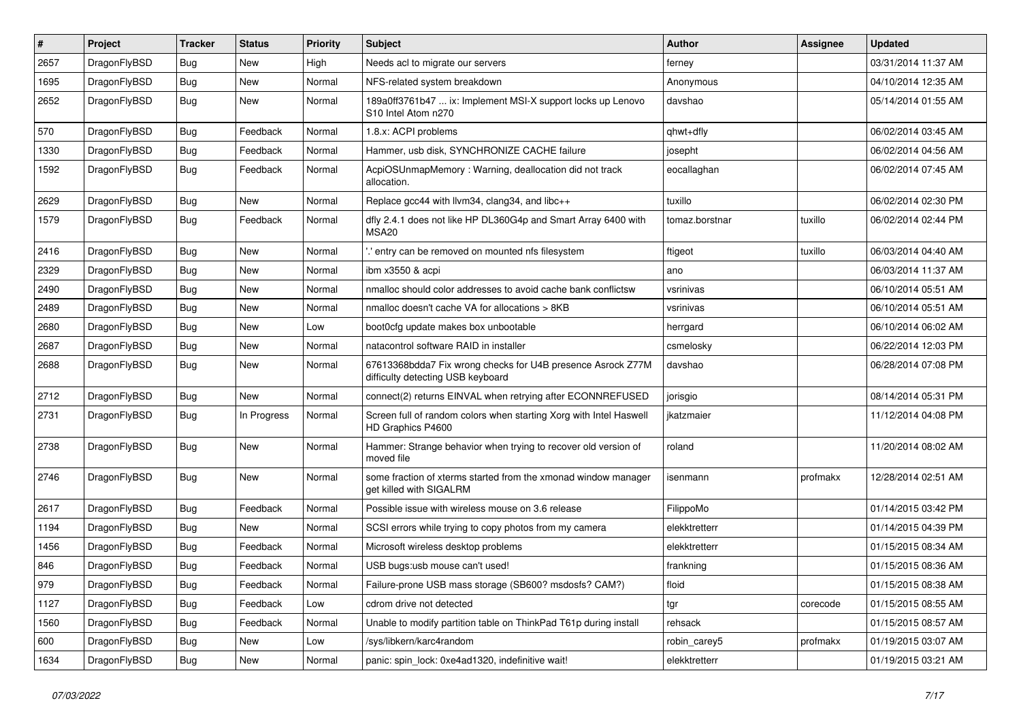| #    | Project      | <b>Tracker</b> | <b>Status</b> | <b>Priority</b> | Subject                                                                                          | <b>Author</b>  | <b>Assignee</b> | <b>Updated</b>      |
|------|--------------|----------------|---------------|-----------------|--------------------------------------------------------------------------------------------------|----------------|-----------------|---------------------|
| 2657 | DragonFlyBSD | Bug            | New           | High            | Needs acl to migrate our servers                                                                 | ferney         |                 | 03/31/2014 11:37 AM |
| 1695 | DragonFlyBSD | Bug            | New           | Normal          | NFS-related system breakdown                                                                     | Anonymous      |                 | 04/10/2014 12:35 AM |
| 2652 | DragonFlyBSD | <b>Bug</b>     | New           | Normal          | 189a0ff3761b47  ix: Implement MSI-X support locks up Lenovo<br>S10 Intel Atom n270               | davshao        |                 | 05/14/2014 01:55 AM |
| 570  | DragonFlyBSD | Bug            | Feedback      | Normal          | 1.8.x: ACPI problems                                                                             | qhwt+dfly      |                 | 06/02/2014 03:45 AM |
| 1330 | DragonFlyBSD | <b>Bug</b>     | Feedback      | Normal          | Hammer, usb disk, SYNCHRONIZE CACHE failure                                                      | josepht        |                 | 06/02/2014 04:56 AM |
| 1592 | DragonFlyBSD | Bug            | Feedback      | Normal          | AcpiOSUnmapMemory: Warning, deallocation did not track<br>allocation.                            | eocallaghan    |                 | 06/02/2014 07:45 AM |
| 2629 | DragonFlyBSD | Bug            | New           | Normal          | Replace gcc44 with llvm34, clang34, and libc++                                                   | tuxillo        |                 | 06/02/2014 02:30 PM |
| 1579 | DragonFlyBSD | Bug            | Feedback      | Normal          | dfly 2.4.1 does not like HP DL360G4p and Smart Array 6400 with<br>MSA <sub>20</sub>              | tomaz.borstnar | tuxillo         | 06/02/2014 02:44 PM |
| 2416 | DragonFlyBSD | Bug            | <b>New</b>    | Normal          | ".' entry can be removed on mounted nfs filesystem                                               | ftigeot        | tuxillo         | 06/03/2014 04:40 AM |
| 2329 | DragonFlyBSD | Bug            | <b>New</b>    | Normal          | ibm x3550 & acpi                                                                                 | ano            |                 | 06/03/2014 11:37 AM |
| 2490 | DragonFlyBSD | <b>Bug</b>     | New           | Normal          | nmalloc should color addresses to avoid cache bank conflictsw                                    | vsrinivas      |                 | 06/10/2014 05:51 AM |
| 2489 | DragonFlyBSD | Bug            | New           | Normal          | nmalloc doesn't cache VA for allocations > 8KB                                                   | vsrinivas      |                 | 06/10/2014 05:51 AM |
| 2680 | DragonFlyBSD | <b>Bug</b>     | New           | Low             | boot0cfg update makes box unbootable                                                             | herrgard       |                 | 06/10/2014 06:02 AM |
| 2687 | DragonFlyBSD | <b>Bug</b>     | New           | Normal          | natacontrol software RAID in installer                                                           | csmelosky      |                 | 06/22/2014 12:03 PM |
| 2688 | DragonFlyBSD | <b>Bug</b>     | New           | Normal          | 67613368bdda7 Fix wrong checks for U4B presence Asrock Z77M<br>difficulty detecting USB keyboard | davshao        |                 | 06/28/2014 07:08 PM |
| 2712 | DragonFlyBSD | Bug            | <b>New</b>    | Normal          | connect(2) returns EINVAL when retrying after ECONNREFUSED                                       | jorisgio       |                 | 08/14/2014 05:31 PM |
| 2731 | DragonFlyBSD | Bug            | In Progress   | Normal          | Screen full of random colors when starting Xorg with Intel Haswell<br>HD Graphics P4600          | ikatzmaier     |                 | 11/12/2014 04:08 PM |
| 2738 | DragonFlyBSD | Bug            | New           | Normal          | Hammer: Strange behavior when trying to recover old version of<br>moved file                     | roland         |                 | 11/20/2014 08:02 AM |
| 2746 | DragonFlyBSD | Bug            | New           | Normal          | some fraction of xterms started from the xmonad window manager<br>get killed with SIGALRM        | isenmann       | profmakx        | 12/28/2014 02:51 AM |
| 2617 | DragonFlyBSD | Bug            | Feedback      | Normal          | Possible issue with wireless mouse on 3.6 release                                                | FilippoMo      |                 | 01/14/2015 03:42 PM |
| 1194 | DragonFlyBSD | <b>Bug</b>     | New           | Normal          | SCSI errors while trying to copy photos from my camera                                           | elekktretterr  |                 | 01/14/2015 04:39 PM |
| 1456 | DragonFlyBSD | Bug            | Feedback      | Normal          | Microsoft wireless desktop problems                                                              | elekktretterr  |                 | 01/15/2015 08:34 AM |
| 846  | DragonFlyBSD | Bug            | Feedback      | Normal          | USB bugs:usb mouse can't used!                                                                   | frankning      |                 | 01/15/2015 08:36 AM |
| 979  | DragonFlyBSD | Bug            | Feedback      | Normal          | Failure-prone USB mass storage (SB600? msdosfs? CAM?)                                            | floid          |                 | 01/15/2015 08:38 AM |
| 1127 | DragonFlyBSD | <b>Bug</b>     | Feedback      | Low             | cdrom drive not detected                                                                         | tgr            | corecode        | 01/15/2015 08:55 AM |
| 1560 | DragonFlyBSD | <b>Bug</b>     | Feedback      | Normal          | Unable to modify partition table on ThinkPad T61p during install                                 | rehsack        |                 | 01/15/2015 08:57 AM |
| 600  | DragonFlyBSD | <b>Bug</b>     | <b>New</b>    | Low             | /sys/libkern/karc4random                                                                         | robin_carey5   | profmakx        | 01/19/2015 03:07 AM |
| 1634 | DragonFlyBSD | <b>Bug</b>     | New           | Normal          | panic: spin_lock: 0xe4ad1320, indefinitive wait!                                                 | elekktretterr  |                 | 01/19/2015 03:21 AM |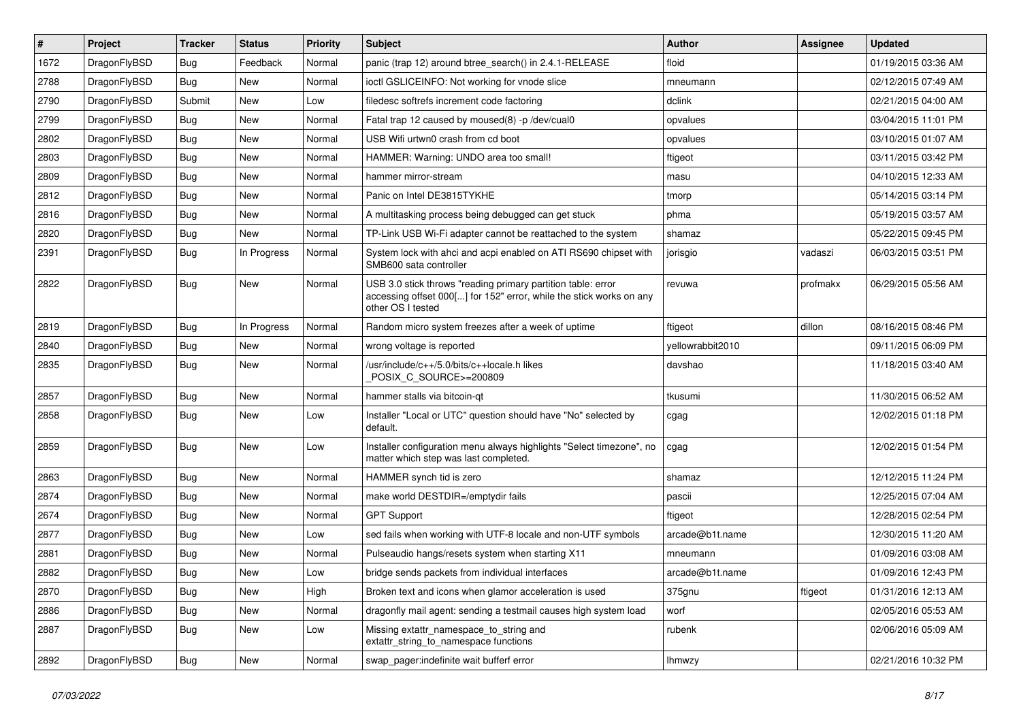| $\sharp$ | Project      | <b>Tracker</b> | <b>Status</b> | <b>Priority</b> | Subject                                                                                                                                                  | <b>Author</b>    | Assignee | <b>Updated</b>      |
|----------|--------------|----------------|---------------|-----------------|----------------------------------------------------------------------------------------------------------------------------------------------------------|------------------|----------|---------------------|
| 1672     | DragonFlyBSD | <b>Bug</b>     | Feedback      | Normal          | panic (trap 12) around btree_search() in 2.4.1-RELEASE                                                                                                   | floid            |          | 01/19/2015 03:36 AM |
| 2788     | DragonFlyBSD | Bug            | New           | Normal          | ioctl GSLICEINFO: Not working for vnode slice                                                                                                            | mneumann         |          | 02/12/2015 07:49 AM |
| 2790     | DragonFlyBSD | Submit         | New           | Low             | filedesc softrefs increment code factoring                                                                                                               | dclink           |          | 02/21/2015 04:00 AM |
| 2799     | DragonFlyBSD | <b>Bug</b>     | New           | Normal          | Fatal trap 12 caused by moused(8) -p/dev/cual0                                                                                                           | opvalues         |          | 03/04/2015 11:01 PM |
| 2802     | DragonFlyBSD | Bug            | <b>New</b>    | Normal          | USB Wifi urtwn0 crash from cd boot                                                                                                                       | opvalues         |          | 03/10/2015 01:07 AM |
| 2803     | DragonFlyBSD | <b>Bug</b>     | <b>New</b>    | Normal          | HAMMER: Warning: UNDO area too small!                                                                                                                    | ftigeot          |          | 03/11/2015 03:42 PM |
| 2809     | DragonFlyBSD | <b>Bug</b>     | New           | Normal          | hammer mirror-stream                                                                                                                                     | masu             |          | 04/10/2015 12:33 AM |
| 2812     | DragonFlyBSD | <b>Bug</b>     | New           | Normal          | Panic on Intel DE3815TYKHE                                                                                                                               | tmorp            |          | 05/14/2015 03:14 PM |
| 2816     | DragonFlyBSD | <b>Bug</b>     | New           | Normal          | A multitasking process being debugged can get stuck                                                                                                      | phma             |          | 05/19/2015 03:57 AM |
| 2820     | DragonFlyBSD | Bug            | New           | Normal          | TP-Link USB Wi-Fi adapter cannot be reattached to the system                                                                                             | shamaz           |          | 05/22/2015 09:45 PM |
| 2391     | DragonFlyBSD | <b>Bug</b>     | In Progress   | Normal          | System lock with ahci and acpi enabled on ATI RS690 chipset with<br>SMB600 sata controller                                                               | jorisgio         | vadaszi  | 06/03/2015 03:51 PM |
| 2822     | DragonFlyBSD | <b>Bug</b>     | <b>New</b>    | Normal          | USB 3.0 stick throws "reading primary partition table: error<br>accessing offset 000[] for 152" error, while the stick works on any<br>other OS I tested | revuwa           | profmakx | 06/29/2015 05:56 AM |
| 2819     | DragonFlyBSD | Bug            | In Progress   | Normal          | Random micro system freezes after a week of uptime                                                                                                       | ftigeot          | dillon   | 08/16/2015 08:46 PM |
| 2840     | DragonFlyBSD | <b>Bug</b>     | <b>New</b>    | Normal          | wrong voltage is reported                                                                                                                                | yellowrabbit2010 |          | 09/11/2015 06:09 PM |
| 2835     | DragonFlyBSD | Bug            | New           | Normal          | /usr/include/c++/5.0/bits/c++locale.h likes<br>POSIX C_SOURCE>=200809                                                                                    | davshao          |          | 11/18/2015 03:40 AM |
| 2857     | DragonFlyBSD | Bug            | New           | Normal          | hammer stalls via bitcoin-qt                                                                                                                             | tkusumi          |          | 11/30/2015 06:52 AM |
| 2858     | DragonFlyBSD | Bug            | New           | Low             | Installer "Local or UTC" question should have "No" selected by<br>default.                                                                               | cgag             |          | 12/02/2015 01:18 PM |
| 2859     | DragonFlyBSD | Bug            | New           | Low             | Installer configuration menu always highlights "Select timezone", no<br>matter which step was last completed.                                            | cgag             |          | 12/02/2015 01:54 PM |
| 2863     | DragonFlyBSD | Bug            | <b>New</b>    | Normal          | HAMMER synch tid is zero                                                                                                                                 | shamaz           |          | 12/12/2015 11:24 PM |
| 2874     | DragonFlyBSD | Bug            | New           | Normal          | make world DESTDIR=/emptydir fails                                                                                                                       | pascii           |          | 12/25/2015 07:04 AM |
| 2674     | DragonFlyBSD | <b>Bug</b>     | <b>New</b>    | Normal          | <b>GPT Support</b>                                                                                                                                       | ftigeot          |          | 12/28/2015 02:54 PM |
| 2877     | DragonFlyBSD | <b>Bug</b>     | New           | Low             | sed fails when working with UTF-8 locale and non-UTF symbols                                                                                             | arcade@b1t.name  |          | 12/30/2015 11:20 AM |
| 2881     | DragonFlyBSD | Bug            | <b>New</b>    | Normal          | Pulseaudio hangs/resets system when starting X11                                                                                                         | mneumann         |          | 01/09/2016 03:08 AM |
| 2882     | DragonFlyBSD | <b>Bug</b>     | <b>New</b>    | Low             | bridge sends packets from individual interfaces                                                                                                          | arcade@b1t.name  |          | 01/09/2016 12:43 PM |
| 2870     | DragonFlyBSD | Bug            | New           | High            | Broken text and icons when glamor acceleration is used                                                                                                   | 375gnu           | ftigeot  | 01/31/2016 12:13 AM |
| 2886     | DragonFlyBSD | <b>Bug</b>     | New           | Normal          | dragonfly mail agent: sending a testmail causes high system load                                                                                         | worf             |          | 02/05/2016 05:53 AM |
| 2887     | DragonFlyBSD | <b>Bug</b>     | New           | Low             | Missing extattr_namespace_to_string and<br>extattr_string_to_namespace functions                                                                         | rubenk           |          | 02/06/2016 05:09 AM |
| 2892     | DragonFlyBSD | <b>Bug</b>     | New           | Normal          | swap_pager:indefinite wait bufferf error                                                                                                                 | Ihmwzy           |          | 02/21/2016 10:32 PM |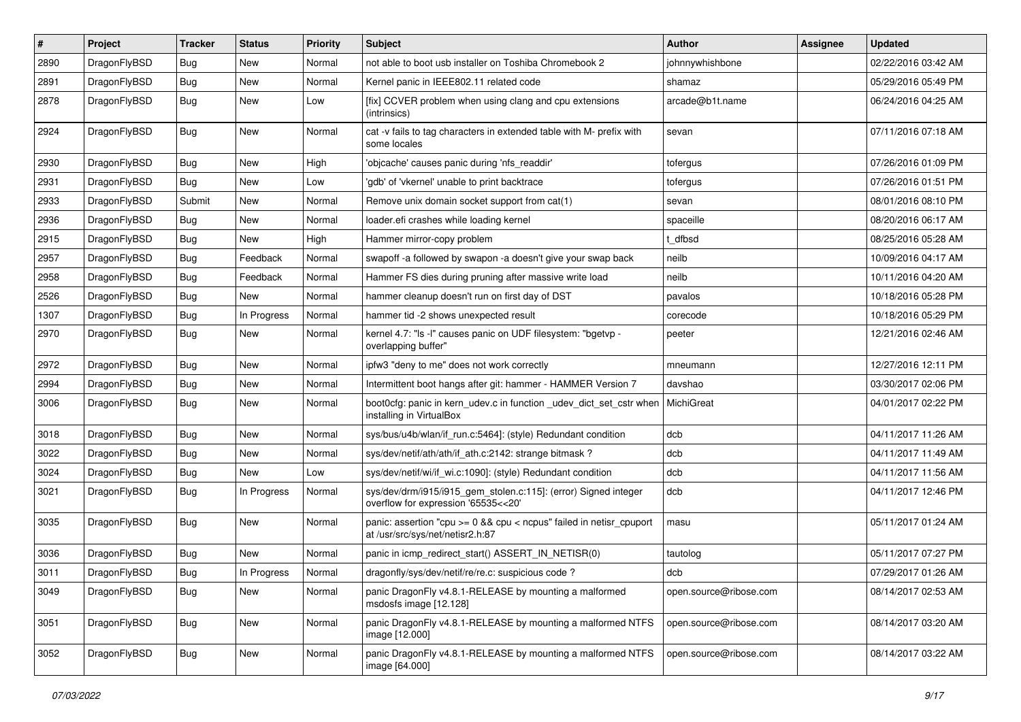| #    | Project      | <b>Tracker</b> | <b>Status</b> | <b>Priority</b> | Subject                                                                                                   | <b>Author</b>          | <b>Assignee</b> | <b>Updated</b>      |
|------|--------------|----------------|---------------|-----------------|-----------------------------------------------------------------------------------------------------------|------------------------|-----------------|---------------------|
| 2890 | DragonFlyBSD | <b>Bug</b>     | <b>New</b>    | Normal          | not able to boot usb installer on Toshiba Chromebook 2                                                    | johnnywhishbone        |                 | 02/22/2016 03:42 AM |
| 2891 | DragonFlyBSD | <b>Bug</b>     | New           | Normal          | Kernel panic in IEEE802.11 related code                                                                   | shamaz                 |                 | 05/29/2016 05:49 PM |
| 2878 | DragonFlyBSD | Bug            | New           | Low             | [fix] CCVER problem when using clang and cpu extensions<br>(intrinsics)                                   | arcade@b1t.name        |                 | 06/24/2016 04:25 AM |
| 2924 | DragonFlyBSD | <b>Bug</b>     | New           | Normal          | cat -v fails to tag characters in extended table with M- prefix with<br>some locales                      | sevan                  |                 | 07/11/2016 07:18 AM |
| 2930 | DragonFlyBSD | Bug            | <b>New</b>    | High            | 'objcache' causes panic during 'nfs_readdir'                                                              | tofergus               |                 | 07/26/2016 01:09 PM |
| 2931 | DragonFlyBSD | Bug            | New           | Low             | 'gdb' of 'vkernel' unable to print backtrace                                                              | tofergus               |                 | 07/26/2016 01:51 PM |
| 2933 | DragonFlyBSD | Submit         | <b>New</b>    | Normal          | Remove unix domain socket support from cat(1)                                                             | sevan                  |                 | 08/01/2016 08:10 PM |
| 2936 | DragonFlyBSD | Bug            | New           | Normal          | loader.efi crashes while loading kernel                                                                   | spaceille              |                 | 08/20/2016 06:17 AM |
| 2915 | DragonFlyBSD | Bug            | New           | High            | Hammer mirror-copy problem                                                                                | t dfbsd                |                 | 08/25/2016 05:28 AM |
| 2957 | DragonFlyBSD | Bug            | Feedback      | Normal          | swapoff -a followed by swapon -a doesn't give your swap back                                              | neilb                  |                 | 10/09/2016 04:17 AM |
| 2958 | DragonFlyBSD | Bug            | Feedback      | Normal          | Hammer FS dies during pruning after massive write load                                                    | neilb                  |                 | 10/11/2016 04:20 AM |
| 2526 | DragonFlyBSD | Bug            | New           | Normal          | hammer cleanup doesn't run on first day of DST                                                            | pavalos                |                 | 10/18/2016 05:28 PM |
| 1307 | DragonFlyBSD | Bug            | In Progress   | Normal          | hammer tid -2 shows unexpected result                                                                     | corecode               |                 | 10/18/2016 05:29 PM |
| 2970 | DragonFlyBSD | Bug            | New           | Normal          | kernel 4.7: "Is -I" causes panic on UDF filesystem: "bgetvp -<br>overlapping buffer"                      | peeter                 |                 | 12/21/2016 02:46 AM |
| 2972 | DragonFlyBSD | Bug            | <b>New</b>    | Normal          | ipfw3 "deny to me" does not work correctly                                                                | mneumann               |                 | 12/27/2016 12:11 PM |
| 2994 | DragonFlyBSD | Bug            | New           | Normal          | Intermittent boot hangs after git: hammer - HAMMER Version 7                                              | davshao                |                 | 03/30/2017 02:06 PM |
| 3006 | DragonFlyBSD | Bug            | <b>New</b>    | Normal          | boot0cfg: panic in kern_udev.c in function _udev_dict_set_cstr when<br>installing in VirtualBox           | MichiGreat             |                 | 04/01/2017 02:22 PM |
| 3018 | DragonFlyBSD | Bug            | New           | Normal          | sys/bus/u4b/wlan/if run.c:5464]: (style) Redundant condition                                              | dcb                    |                 | 04/11/2017 11:26 AM |
| 3022 | DragonFlyBSD | Bug            | New           | Normal          | sys/dev/netif/ath/ath/if_ath.c:2142: strange bitmask?                                                     | dcb                    |                 | 04/11/2017 11:49 AM |
| 3024 | DragonFlyBSD | <b>Bug</b>     | <b>New</b>    | Low             | sys/dev/netif/wi/if_wi.c:1090]: (style) Redundant condition                                               | dcb                    |                 | 04/11/2017 11:56 AM |
| 3021 | DragonFlyBSD | <b>Bug</b>     | In Progress   | Normal          | sys/dev/drm/i915/i915_gem_stolen.c:115]: (error) Signed integer<br>overflow for expression '65535<<20'    | dcb                    |                 | 04/11/2017 12:46 PM |
| 3035 | DragonFlyBSD | Bug            | New           | Normal          | panic: assertion "cpu $>= 0$ && cpu < ncpus" failed in netisr cpuport<br>at /usr/src/sys/net/netisr2.h:87 | masu                   |                 | 05/11/2017 01:24 AM |
| 3036 | DragonFlyBSD | Bug            | <b>New</b>    | Normal          | panic in icmp redirect start() ASSERT IN NETISR(0)                                                        | tautolog               |                 | 05/11/2017 07:27 PM |
| 3011 | DragonFlyBSD | Bug            | In Progress   | Normal          | dragonfly/sys/dev/netif/re/re.c: suspicious code?                                                         | dcb                    |                 | 07/29/2017 01:26 AM |
| 3049 | DragonFlyBSD | <b>Bug</b>     | New           | Normal          | panic DragonFly v4.8.1-RELEASE by mounting a malformed<br>msdosfs image [12.128]                          | open.source@ribose.com |                 | 08/14/2017 02:53 AM |
| 3051 | DragonFlyBSD | <b>Bug</b>     | <b>New</b>    | Normal          | panic DragonFly v4.8.1-RELEASE by mounting a malformed NTFS<br>image [12.000]                             | open.source@ribose.com |                 | 08/14/2017 03:20 AM |
| 3052 | DragonFlyBSD | <b>Bug</b>     | <b>New</b>    | Normal          | panic DragonFly v4.8.1-RELEASE by mounting a malformed NTFS<br>image [64.000]                             | open.source@ribose.com |                 | 08/14/2017 03:22 AM |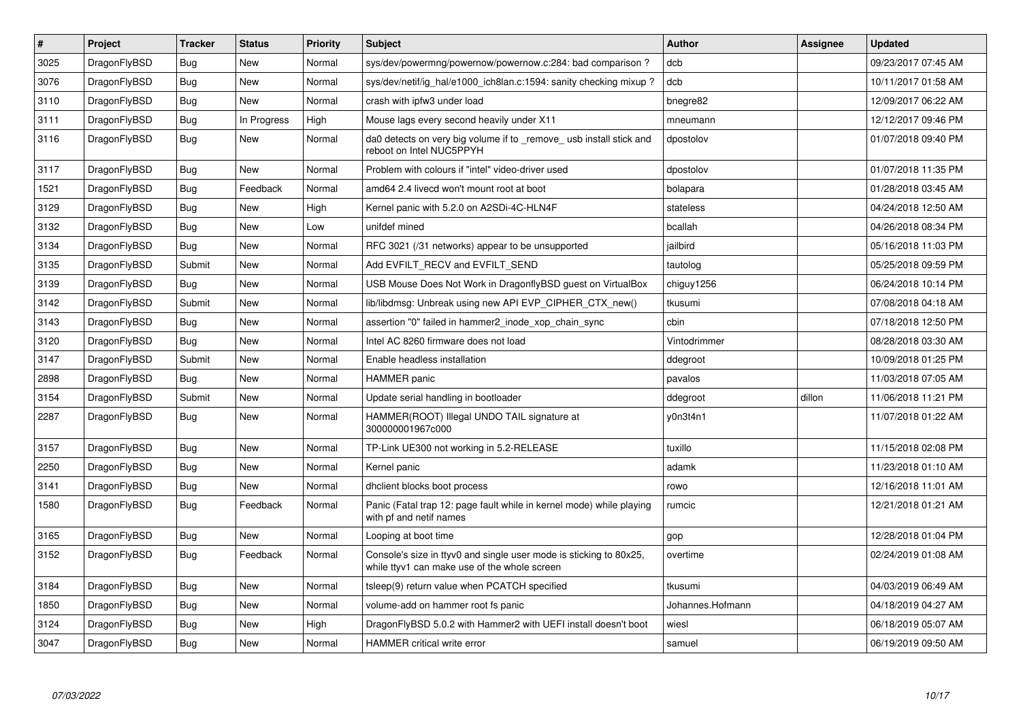| $\pmb{\#}$ | Project      | <b>Tracker</b> | <b>Status</b> | <b>Priority</b> | <b>Subject</b>                                                                                                     | <b>Author</b>    | Assignee | <b>Updated</b>      |
|------------|--------------|----------------|---------------|-----------------|--------------------------------------------------------------------------------------------------------------------|------------------|----------|---------------------|
| 3025       | DragonFlyBSD | Bug            | <b>New</b>    | Normal          | sys/dev/powermng/powernow/powernow.c:284: bad comparison ?                                                         | dcb              |          | 09/23/2017 07:45 AM |
| 3076       | DragonFlyBSD | Bug            | <b>New</b>    | Normal          | sys/dev/netif/ig hal/e1000 ich8lan.c:1594: sanity checking mixup?                                                  | dcb              |          | 10/11/2017 01:58 AM |
| 3110       | DragonFlyBSD | Bug            | <b>New</b>    | Normal          | crash with ipfw3 under load                                                                                        | bnegre82         |          | 12/09/2017 06:22 AM |
| 3111       | DragonFlyBSD | <b>Bug</b>     | In Progress   | High            | Mouse lags every second heavily under X11                                                                          | mneumann         |          | 12/12/2017 09:46 PM |
| 3116       | DragonFlyBSD | Bug            | New           | Normal          | da0 detects on very big volume if to _remove_usb install stick and<br>reboot on Intel NUC5PPYH                     | dpostolov        |          | 01/07/2018 09:40 PM |
| 3117       | DragonFlyBSD | Bug            | <b>New</b>    | Normal          | Problem with colours if "intel" video-driver used                                                                  | dpostolov        |          | 01/07/2018 11:35 PM |
| 1521       | DragonFlyBSD | <b>Bug</b>     | Feedback      | Normal          | amd64 2.4 livecd won't mount root at boot                                                                          | bolapara         |          | 01/28/2018 03:45 AM |
| 3129       | DragonFlyBSD | Bug            | <b>New</b>    | High            | Kernel panic with 5.2.0 on A2SDi-4C-HLN4F                                                                          | stateless        |          | 04/24/2018 12:50 AM |
| 3132       | DragonFlyBSD | Bug            | <b>New</b>    | Low             | unifdef mined                                                                                                      | bcallah          |          | 04/26/2018 08:34 PM |
| 3134       | DragonFlyBSD | Bug            | <b>New</b>    | Normal          | RFC 3021 (/31 networks) appear to be unsupported                                                                   | jailbird         |          | 05/16/2018 11:03 PM |
| 3135       | DragonFlyBSD | Submit         | <b>New</b>    | Normal          | Add EVFILT RECV and EVFILT SEND                                                                                    | tautolog         |          | 05/25/2018 09:59 PM |
| 3139       | DragonFlyBSD | Bug            | <b>New</b>    | Normal          | USB Mouse Does Not Work in DragonflyBSD guest on VirtualBox                                                        | chiguy1256       |          | 06/24/2018 10:14 PM |
| 3142       | DragonFlyBSD | Submit         | New           | Normal          | lib/libdmsg: Unbreak using new API EVP CIPHER CTX new()                                                            | tkusumi          |          | 07/08/2018 04:18 AM |
| 3143       | DragonFlyBSD | Bug            | <b>New</b>    | Normal          | assertion "0" failed in hammer2 inode xop chain sync                                                               | cbin             |          | 07/18/2018 12:50 PM |
| 3120       | DragonFlyBSD | <b>Bug</b>     | <b>New</b>    | Normal          | Intel AC 8260 firmware does not load                                                                               | Vintodrimmer     |          | 08/28/2018 03:30 AM |
| 3147       | DragonFlyBSD | Submit         | New           | Normal          | Enable headless installation                                                                                       | ddegroot         |          | 10/09/2018 01:25 PM |
| 2898       | DragonFlyBSD | <b>Bug</b>     | <b>New</b>    | Normal          | <b>HAMMER</b> panic                                                                                                | pavalos          |          | 11/03/2018 07:05 AM |
| 3154       | DragonFlyBSD | Submit         | <b>New</b>    | Normal          | Update serial handling in bootloader                                                                               | ddegroot         | dillon   | 11/06/2018 11:21 PM |
| 2287       | DragonFlyBSD | Bug            | <b>New</b>    | Normal          | HAMMER(ROOT) Illegal UNDO TAIL signature at<br>300000001967c000                                                    | y0n3t4n1         |          | 11/07/2018 01:22 AM |
| 3157       | DragonFlyBSD | Bug            | <b>New</b>    | Normal          | TP-Link UE300 not working in 5.2-RELEASE                                                                           | tuxillo          |          | 11/15/2018 02:08 PM |
| 2250       | DragonFlyBSD | Bug            | New           | Normal          | Kernel panic                                                                                                       | adamk            |          | 11/23/2018 01:10 AM |
| 3141       | DragonFlyBSD | Bug            | <b>New</b>    | Normal          | dhclient blocks boot process                                                                                       | rowo             |          | 12/16/2018 11:01 AM |
| 1580       | DragonFlyBSD | Bug            | Feedback      | Normal          | Panic (Fatal trap 12: page fault while in kernel mode) while playing<br>with pf and netif names                    | rumcic           |          | 12/21/2018 01:21 AM |
| 3165       | DragonFlyBSD | Bug            | New           | Normal          | Looping at boot time                                                                                               | gop              |          | 12/28/2018 01:04 PM |
| 3152       | DragonFlyBSD | Bug            | Feedback      | Normal          | Console's size in ttyv0 and single user mode is sticking to 80x25,<br>while ttyv1 can make use of the whole screen | overtime         |          | 02/24/2019 01:08 AM |
| 3184       | DragonFlyBSD | <b>Bug</b>     | <b>New</b>    | Normal          | tsleep(9) return value when PCATCH specified                                                                       | tkusumi          |          | 04/03/2019 06:49 AM |
| 1850       | DragonFlyBSD | Bug            | <b>New</b>    | Normal          | volume-add on hammer root fs panic                                                                                 | Johannes.Hofmann |          | 04/18/2019 04:27 AM |
| 3124       | DragonFlyBSD | <b>Bug</b>     | New           | High            | DragonFlyBSD 5.0.2 with Hammer2 with UEFI install doesn't boot                                                     | wiesl            |          | 06/18/2019 05:07 AM |
| 3047       | DragonFlyBSD | <b>Bug</b>     | New           | Normal          | <b>HAMMER</b> critical write error                                                                                 | samuel           |          | 06/19/2019 09:50 AM |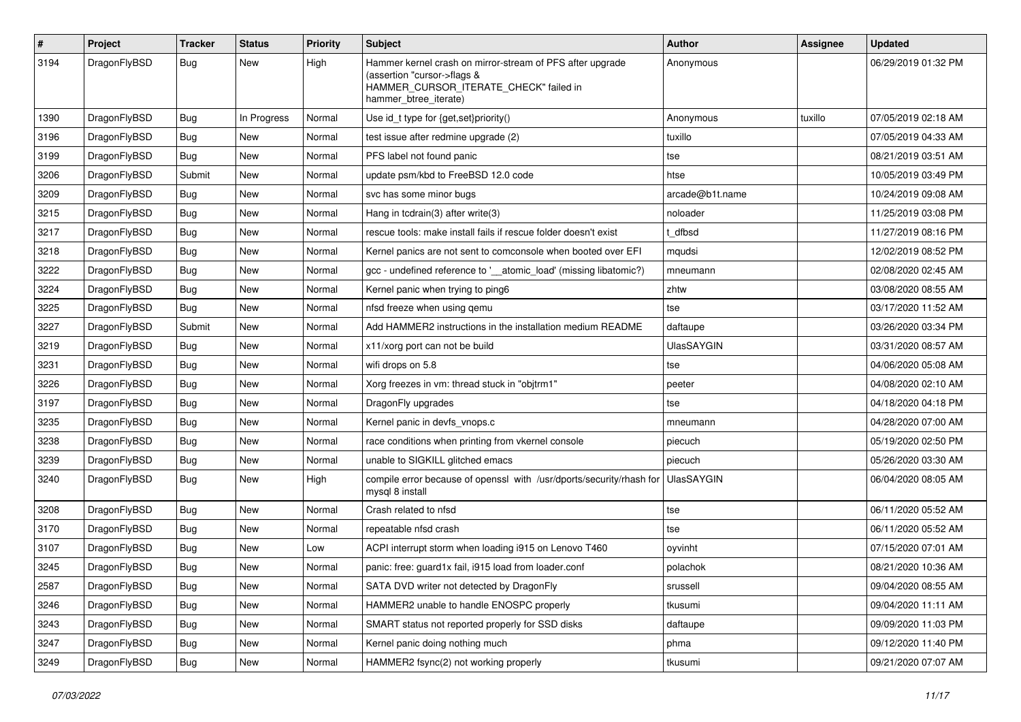| $\sharp$ | Project      | <b>Tracker</b> | <b>Status</b> | <b>Priority</b> | Subject                                                                                                                                                     | <b>Author</b>     | Assignee | <b>Updated</b>      |
|----------|--------------|----------------|---------------|-----------------|-------------------------------------------------------------------------------------------------------------------------------------------------------------|-------------------|----------|---------------------|
| 3194     | DragonFlyBSD | Bug            | New           | High            | Hammer kernel crash on mirror-stream of PFS after upgrade<br>(assertion "cursor->flags &<br>HAMMER_CURSOR_ITERATE_CHECK" failed in<br>hammer_btree_iterate) | Anonymous         |          | 06/29/2019 01:32 PM |
| 1390     | DragonFlyBSD | Bug            | In Progress   | Normal          | Use id_t type for {get,set}priority()                                                                                                                       | Anonymous         | tuxillo  | 07/05/2019 02:18 AM |
| 3196     | DragonFlyBSD | <b>Bug</b>     | New           | Normal          | test issue after redmine upgrade (2)                                                                                                                        | tuxillo           |          | 07/05/2019 04:33 AM |
| 3199     | DragonFlyBSD | Bug            | <b>New</b>    | Normal          | PFS label not found panic                                                                                                                                   | tse               |          | 08/21/2019 03:51 AM |
| 3206     | DragonFlyBSD | Submit         | New           | Normal          | update psm/kbd to FreeBSD 12.0 code                                                                                                                         | htse              |          | 10/05/2019 03:49 PM |
| 3209     | DragonFlyBSD | <b>Bug</b>     | <b>New</b>    | Normal          | svc has some minor bugs                                                                                                                                     | arcade@b1t.name   |          | 10/24/2019 09:08 AM |
| 3215     | DragonFlyBSD | Bug            | <b>New</b>    | Normal          | Hang in tcdrain(3) after write(3)                                                                                                                           | noloader          |          | 11/25/2019 03:08 PM |
| 3217     | DragonFlyBSD | Bug            | New           | Normal          | rescue tools: make install fails if rescue folder doesn't exist                                                                                             | t dfbsd           |          | 11/27/2019 08:16 PM |
| 3218     | DragonFlyBSD | <b>Bug</b>     | <b>New</b>    | Normal          | Kernel panics are not sent to comconsole when booted over EFI                                                                                               | mqudsi            |          | 12/02/2019 08:52 PM |
| 3222     | DragonFlyBSD | <b>Bug</b>     | <b>New</b>    | Normal          | gcc - undefined reference to '__atomic_load' (missing libatomic?)                                                                                           | mneumann          |          | 02/08/2020 02:45 AM |
| 3224     | DragonFlyBSD | <b>Bug</b>     | New           | Normal          | Kernel panic when trying to ping6                                                                                                                           | zhtw              |          | 03/08/2020 08:55 AM |
| 3225     | DragonFlyBSD | <b>Bug</b>     | <b>New</b>    | Normal          | nfsd freeze when using qemu                                                                                                                                 | tse               |          | 03/17/2020 11:52 AM |
| 3227     | DragonFlyBSD | Submit         | <b>New</b>    | Normal          | Add HAMMER2 instructions in the installation medium README                                                                                                  | daftaupe          |          | 03/26/2020 03:34 PM |
| 3219     | DragonFlyBSD | <b>Bug</b>     | New           | Normal          | x11/xorg port can not be build                                                                                                                              | <b>UlasSAYGIN</b> |          | 03/31/2020 08:57 AM |
| 3231     | DragonFlyBSD | Bug            | <b>New</b>    | Normal          | wifi drops on 5.8                                                                                                                                           | tse               |          | 04/06/2020 05:08 AM |
| 3226     | DragonFlyBSD | <b>Bug</b>     | New           | Normal          | Xorg freezes in vm: thread stuck in "objtrm1"                                                                                                               | peeter            |          | 04/08/2020 02:10 AM |
| 3197     | DragonFlyBSD | Bug            | <b>New</b>    | Normal          | DragonFly upgrades                                                                                                                                          | tse               |          | 04/18/2020 04:18 PM |
| 3235     | DragonFlyBSD | <b>Bug</b>     | <b>New</b>    | Normal          | Kernel panic in devfs vnops.c                                                                                                                               | mneumann          |          | 04/28/2020 07:00 AM |
| 3238     | DragonFlyBSD | <b>Bug</b>     | New           | Normal          | race conditions when printing from vkernel console                                                                                                          | piecuch           |          | 05/19/2020 02:50 PM |
| 3239     | DragonFlyBSD | Bug            | <b>New</b>    | Normal          | unable to SIGKILL glitched emacs                                                                                                                            | piecuch           |          | 05/26/2020 03:30 AM |
| 3240     | DragonFlyBSD | <b>Bug</b>     | New           | High            | compile error because of openssl with /usr/dports/security/rhash for<br>mysql 8 install                                                                     | <b>UlasSAYGIN</b> |          | 06/04/2020 08:05 AM |
| 3208     | DragonFlyBSD | Bug            | <b>New</b>    | Normal          | Crash related to nfsd                                                                                                                                       | tse               |          | 06/11/2020 05:52 AM |
| 3170     | DragonFlyBSD | <b>Bug</b>     | New           | Normal          | repeatable nfsd crash                                                                                                                                       | tse               |          | 06/11/2020 05:52 AM |
| 3107     | DragonFlyBSD | <b>Bug</b>     | <b>New</b>    | Low             | ACPI interrupt storm when loading i915 on Lenovo T460                                                                                                       | oyvinht           |          | 07/15/2020 07:01 AM |
| 3245     | DragonFlyBSD | <b>Bug</b>     | <b>New</b>    | Normal          | panic: free: guard1x fail, i915 load from loader.conf                                                                                                       | polachok          |          | 08/21/2020 10:36 AM |
| 2587     | DragonFlyBSD | <b>Bug</b>     | New           | Normal          | SATA DVD writer not detected by DragonFly                                                                                                                   | srussell          |          | 09/04/2020 08:55 AM |
| 3246     | DragonFlyBSD | <b>Bug</b>     | New           | Normal          | HAMMER2 unable to handle ENOSPC properly                                                                                                                    | tkusumi           |          | 09/04/2020 11:11 AM |
| 3243     | DragonFlyBSD | <b>Bug</b>     | New           | Normal          | SMART status not reported properly for SSD disks                                                                                                            | daftaupe          |          | 09/09/2020 11:03 PM |
| 3247     | DragonFlyBSD | <b>Bug</b>     | New           | Normal          | Kernel panic doing nothing much                                                                                                                             | phma              |          | 09/12/2020 11:40 PM |
| 3249     | DragonFlyBSD | <b>Bug</b>     | New           | Normal          | HAMMER2 fsync(2) not working properly                                                                                                                       | tkusumi           |          | 09/21/2020 07:07 AM |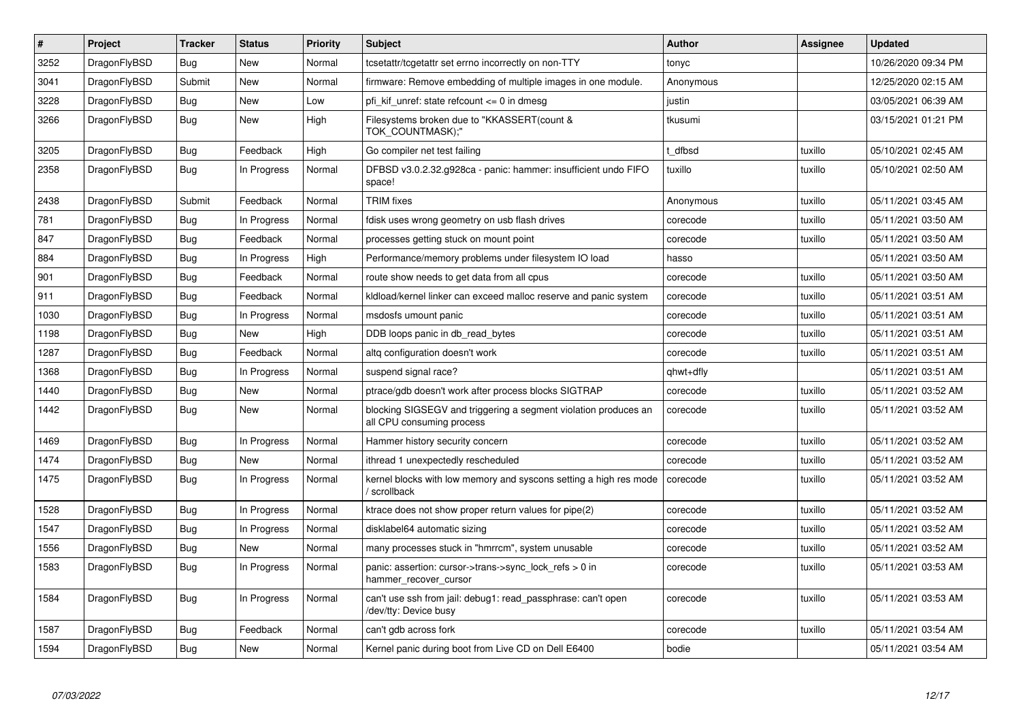| #    | Project      | Tracker    | <b>Status</b> | <b>Priority</b> | <b>Subject</b>                                                                               | Author    | Assignee | Updated             |
|------|--------------|------------|---------------|-----------------|----------------------------------------------------------------------------------------------|-----------|----------|---------------------|
| 3252 | DragonFlyBSD | <b>Bug</b> | <b>New</b>    | Normal          | tcsetattr/tcgetattr set errno incorrectly on non-TTY                                         | tonyc     |          | 10/26/2020 09:34 PM |
| 3041 | DragonFlyBSD | Submit     | New           | Normal          | firmware: Remove embedding of multiple images in one module.                                 | Anonymous |          | 12/25/2020 02:15 AM |
| 3228 | DragonFlyBSD | Bug        | <b>New</b>    | Low             | pfi kif unref: state refcount $\leq 0$ in dmesg                                              | justin    |          | 03/05/2021 06:39 AM |
| 3266 | DragonFlyBSD | <b>Bug</b> | <b>New</b>    | High            | Filesystems broken due to "KKASSERT(count &<br>TOK COUNTMASK);"                              | tkusumi   |          | 03/15/2021 01:21 PM |
| 3205 | DragonFlyBSD | <b>Bug</b> | Feedback      | High            | Go compiler net test failing                                                                 | t dfbsd   | tuxillo  | 05/10/2021 02:45 AM |
| 2358 | DragonFlyBSD | Bug        | In Progress   | Normal          | DFBSD v3.0.2.32.g928ca - panic: hammer: insufficient undo FIFO<br>space!                     | tuxillo   | tuxillo  | 05/10/2021 02:50 AM |
| 2438 | DragonFlyBSD | Submit     | Feedback      | Normal          | TRIM fixes                                                                                   | Anonymous | tuxillo  | 05/11/2021 03:45 AM |
| 781  | DragonFlyBSD | <b>Bug</b> | In Progress   | Normal          | fdisk uses wrong geometry on usb flash drives                                                | corecode  | tuxillo  | 05/11/2021 03:50 AM |
| 847  | DragonFlyBSD | Bug        | Feedback      | Normal          | processes getting stuck on mount point                                                       | corecode  | tuxillo  | 05/11/2021 03:50 AM |
| 884  | DragonFlyBSD | <b>Bug</b> | In Progress   | High            | Performance/memory problems under filesystem IO load                                         | hasso     |          | 05/11/2021 03:50 AM |
| 901  | DragonFlyBSD | <b>Bug</b> | Feedback      | Normal          | route show needs to get data from all cpus                                                   | corecode  | tuxillo  | 05/11/2021 03:50 AM |
| 911  | DragonFlyBSD | <b>Bug</b> | Feedback      | Normal          | kldload/kernel linker can exceed malloc reserve and panic system                             | corecode  | tuxillo  | 05/11/2021 03:51 AM |
| 1030 | DragonFlyBSD | <b>Bug</b> | In Progress   | Normal          | msdosfs umount panic                                                                         | corecode  | tuxillo  | 05/11/2021 03:51 AM |
| 1198 | DragonFlyBSD | Bug        | <b>New</b>    | High            | DDB loops panic in db read bytes                                                             | corecode  | tuxillo  | 05/11/2021 03:51 AM |
| 1287 | DragonFlyBSD | Bug        | Feedback      | Normal          | altq configuration doesn't work                                                              | corecode  | tuxillo  | 05/11/2021 03:51 AM |
| 1368 | DragonFlyBSD | Bug        | In Progress   | Normal          | suspend signal race?                                                                         | qhwt+dfly |          | 05/11/2021 03:51 AM |
| 1440 | DragonFlyBSD | <b>Bug</b> | New           | Normal          | ptrace/gdb doesn't work after process blocks SIGTRAP                                         | corecode  | tuxillo  | 05/11/2021 03:52 AM |
| 1442 | DragonFlyBSD | <b>Bug</b> | <b>New</b>    | Normal          | blocking SIGSEGV and triggering a segment violation produces an<br>all CPU consuming process | corecode  | tuxillo  | 05/11/2021 03:52 AM |
| 1469 | DragonFlyBSD | Bug        | In Progress   | Normal          | Hammer history security concern                                                              | corecode  | tuxillo  | 05/11/2021 03:52 AM |
| 1474 | DragonFlyBSD | <b>Bug</b> | <b>New</b>    | Normal          | ithread 1 unexpectedly rescheduled                                                           | corecode  | tuxillo  | 05/11/2021 03:52 AM |
| 1475 | DragonFlyBSD | Bug        | In Progress   | Normal          | kernel blocks with low memory and syscons setting a high res mode<br>' scrollback            | corecode  | tuxillo  | 05/11/2021 03:52 AM |
| 1528 | DragonFlyBSD | <b>Bug</b> | In Progress   | Normal          | ktrace does not show proper return values for pipe(2)                                        | corecode  | tuxillo  | 05/11/2021 03:52 AM |
| 1547 | DragonFlyBSD | Bug        | In Progress   | Normal          | disklabel64 automatic sizing                                                                 | corecode  | tuxillo  | 05/11/2021 03:52 AM |
| 1556 | DragonFlyBSD | <b>Bug</b> | <b>New</b>    | Normal          | many processes stuck in "hmrrcm", system unusable                                            | corecode  | tuxillo  | 05/11/2021 03:52 AM |
| 1583 | DragonFlyBSD | Bug        | In Progress   | Normal          | panic: assertion: cursor->trans->sync_lock_refs > 0 in<br>hammer_recover_cursor              | corecode  | tuxillo  | 05/11/2021 03:53 AM |
| 1584 | DragonFlyBSD | Bug        | In Progress   | Normal          | can't use ssh from jail: debug1: read_passphrase: can't open<br>/dev/tty: Device busy        | corecode  | tuxillo  | 05/11/2021 03:53 AM |
| 1587 | DragonFlyBSD | Bug        | Feedback      | Normal          | can't gdb across fork                                                                        | corecode  | tuxillo  | 05/11/2021 03:54 AM |
| 1594 | DragonFlyBSD | <b>Bug</b> | <b>New</b>    | Normal          | Kernel panic during boot from Live CD on Dell E6400                                          | bodie     |          | 05/11/2021 03:54 AM |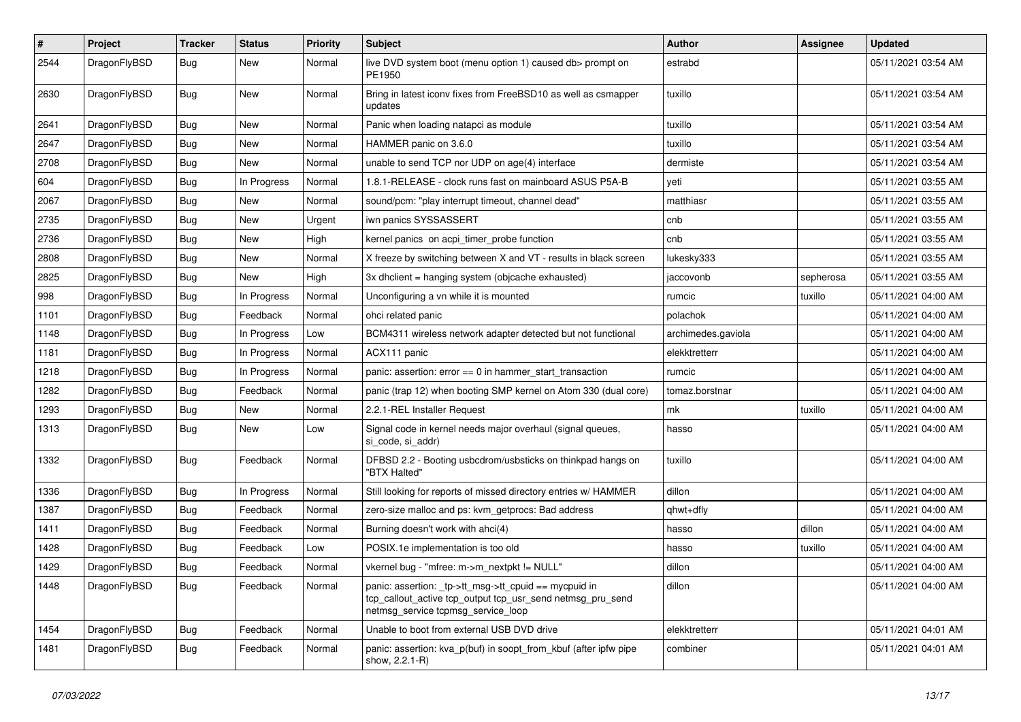| #    | Project      | <b>Tracker</b> | <b>Status</b> | <b>Priority</b> | Subject                                                                                                                                                   | Author             | Assignee  | <b>Updated</b>      |
|------|--------------|----------------|---------------|-----------------|-----------------------------------------------------------------------------------------------------------------------------------------------------------|--------------------|-----------|---------------------|
| 2544 | DragonFlyBSD | Bug            | New           | Normal          | live DVD system boot (menu option 1) caused db> prompt on<br>PE1950                                                                                       | estrabd            |           | 05/11/2021 03:54 AM |
| 2630 | DragonFlyBSD | Bug            | <b>New</b>    | Normal          | Bring in latest iconv fixes from FreeBSD10 as well as csmapper<br>updates                                                                                 | tuxillo            |           | 05/11/2021 03:54 AM |
| 2641 | DragonFlyBSD | <b>Bug</b>     | <b>New</b>    | Normal          | Panic when loading natapci as module                                                                                                                      | tuxillo            |           | 05/11/2021 03:54 AM |
| 2647 | DragonFlyBSD | <b>Bug</b>     | New           | Normal          | HAMMER panic on 3.6.0                                                                                                                                     | tuxillo            |           | 05/11/2021 03:54 AM |
| 2708 | DragonFlyBSD | Bug            | New           | Normal          | unable to send TCP nor UDP on age(4) interface                                                                                                            | dermiste           |           | 05/11/2021 03:54 AM |
| 604  | DragonFlyBSD | <b>Bug</b>     | In Progress   | Normal          | 1.8.1-RELEASE - clock runs fast on mainboard ASUS P5A-B                                                                                                   | yeti               |           | 05/11/2021 03:55 AM |
| 2067 | DragonFlyBSD | <b>Bug</b>     | New           | Normal          | sound/pcm: "play interrupt timeout, channel dead"                                                                                                         | matthiasr          |           | 05/11/2021 03:55 AM |
| 2735 | DragonFlyBSD | Bug            | <b>New</b>    | Urgent          | iwn panics SYSSASSERT                                                                                                                                     | cnb                |           | 05/11/2021 03:55 AM |
| 2736 | DragonFlyBSD | <b>Bug</b>     | New           | High            | kernel panics on acpi timer probe function                                                                                                                | cnb                |           | 05/11/2021 03:55 AM |
| 2808 | DragonFlyBSD | Bug            | <b>New</b>    | Normal          | X freeze by switching between X and VT - results in black screen                                                                                          | lukesky333         |           | 05/11/2021 03:55 AM |
| 2825 | DragonFlyBSD | <b>Bug</b>     | New           | High            | 3x dhclient = hanging system (objcache exhausted)                                                                                                         | jaccovonb          | sepherosa | 05/11/2021 03:55 AM |
| 998  | DragonFlyBSD | <b>Bug</b>     | In Progress   | Normal          | Unconfiguring a vn while it is mounted                                                                                                                    | rumcic             | tuxillo   | 05/11/2021 04:00 AM |
| 1101 | DragonFlyBSD | Bug            | Feedback      | Normal          | ohci related panic                                                                                                                                        | polachok           |           | 05/11/2021 04:00 AM |
| 1148 | DragonFlyBSD | <b>Bug</b>     | In Progress   | Low             | BCM4311 wireless network adapter detected but not functional                                                                                              | archimedes.gaviola |           | 05/11/2021 04:00 AM |
| 1181 | DragonFlyBSD | Bug            | In Progress   | Normal          | ACX111 panic                                                                                                                                              | elekktretterr      |           | 05/11/2021 04:00 AM |
| 1218 | DragonFlyBSD | <b>Bug</b>     | In Progress   | Normal          | panic: assertion: $error == 0$ in hammer start transaction                                                                                                | rumcic             |           | 05/11/2021 04:00 AM |
| 1282 | DragonFlyBSD | <b>Bug</b>     | Feedback      | Normal          | panic (trap 12) when booting SMP kernel on Atom 330 (dual core)                                                                                           | tomaz.borstnar     |           | 05/11/2021 04:00 AM |
| 1293 | DragonFlyBSD | Bug            | New           | Normal          | 2.2.1-REL Installer Request                                                                                                                               | mk                 | tuxillo   | 05/11/2021 04:00 AM |
| 1313 | DragonFlyBSD | <b>Bug</b>     | New           | Low             | Signal code in kernel needs major overhaul (signal queues,<br>si_code, si_addr)                                                                           | hasso              |           | 05/11/2021 04:00 AM |
| 1332 | DragonFlyBSD | Bug            | Feedback      | Normal          | DFBSD 2.2 - Booting usbcdrom/usbsticks on thinkpad hangs on<br>"BTX Halted"                                                                               | tuxillo            |           | 05/11/2021 04:00 AM |
| 1336 | DragonFlyBSD | <b>Bug</b>     | In Progress   | Normal          | Still looking for reports of missed directory entries w/ HAMMER                                                                                           | dillon             |           | 05/11/2021 04:00 AM |
| 1387 | DragonFlyBSD | <b>Bug</b>     | Feedback      | Normal          | zero-size malloc and ps: kvm_getprocs: Bad address                                                                                                        | qhwt+dfly          |           | 05/11/2021 04:00 AM |
| 1411 | DragonFlyBSD | <b>Bug</b>     | Feedback      | Normal          | Burning doesn't work with ahci(4)                                                                                                                         | hasso              | dillon    | 05/11/2021 04:00 AM |
| 1428 | DragonFlyBSD | <b>Bug</b>     | Feedback      | Low             | POSIX.1e implementation is too old                                                                                                                        | hasso              | tuxillo   | 05/11/2021 04:00 AM |
| 1429 | DragonFlyBSD | <b>Bug</b>     | Feedback      | Normal          | vkernel bug - "mfree: m->m_nextpkt != NULL"                                                                                                               | dillon             |           | 05/11/2021 04:00 AM |
| 1448 | DragonFlyBSD | Bug            | Feedback      | Normal          | panic: assertion: _tp->tt_msg->tt_cpuid == mycpuid in<br>tcp callout active tcp output tcp usr send netmsg pru send<br>netmsg_service tcpmsg_service_loop | dillon             |           | 05/11/2021 04:00 AM |
| 1454 | DragonFlyBSD | Bug            | Feedback      | Normal          | Unable to boot from external USB DVD drive                                                                                                                | elekktretterr      |           | 05/11/2021 04:01 AM |
| 1481 | DragonFlyBSD | <b>Bug</b>     | Feedback      | Normal          | panic: assertion: kva_p(buf) in soopt_from_kbuf (after ipfw pipe<br>show, 2.2.1-R)                                                                        | combiner           |           | 05/11/2021 04:01 AM |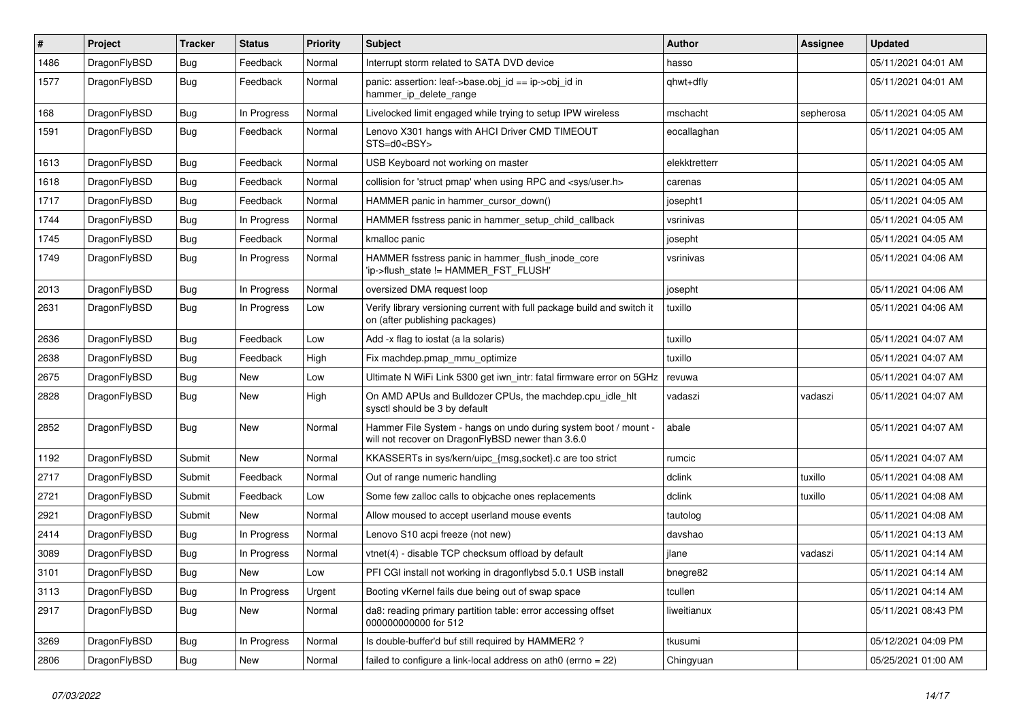| $\pmb{\#}$ | Project      | <b>Tracker</b> | <b>Status</b> | <b>Priority</b> | Subject                                                                                                              | <b>Author</b> | Assignee  | <b>Updated</b>      |
|------------|--------------|----------------|---------------|-----------------|----------------------------------------------------------------------------------------------------------------------|---------------|-----------|---------------------|
| 1486       | DragonFlyBSD | Bug            | Feedback      | Normal          | Interrupt storm related to SATA DVD device                                                                           | hasso         |           | 05/11/2021 04:01 AM |
| 1577       | DragonFlyBSD | <b>Bug</b>     | Feedback      | Normal          | panic: assertion: leaf->base.obj_id == ip->obj_id in<br>hammer_ip_delete_range                                       | qhwt+dfly     |           | 05/11/2021 04:01 AM |
| 168        | DragonFlyBSD | Bug            | In Progress   | Normal          | Livelocked limit engaged while trying to setup IPW wireless                                                          | mschacht      | sepherosa | 05/11/2021 04:05 AM |
| 1591       | DragonFlyBSD | <b>Bug</b>     | Feedback      | Normal          | Lenovo X301 hangs with AHCI Driver CMD TIMEOUT<br>STS=d0 <bsy></bsy>                                                 | eocallaghan   |           | 05/11/2021 04:05 AM |
| 1613       | DragonFlyBSD | Bug            | Feedback      | Normal          | USB Keyboard not working on master                                                                                   | elekktretterr |           | 05/11/2021 04:05 AM |
| 1618       | DragonFlyBSD | <b>Bug</b>     | Feedback      | Normal          | collision for 'struct pmap' when using RPC and <sys user.h=""></sys>                                                 | carenas       |           | 05/11/2021 04:05 AM |
| 1717       | DragonFlyBSD | <b>Bug</b>     | Feedback      | Normal          | HAMMER panic in hammer_cursor_down()                                                                                 | josepht1      |           | 05/11/2021 04:05 AM |
| 1744       | DragonFlyBSD | Bug            | In Progress   | Normal          | HAMMER fsstress panic in hammer_setup_child_callback                                                                 | vsrinivas     |           | 05/11/2021 04:05 AM |
| 1745       | DragonFlyBSD | <b>Bug</b>     | Feedback      | Normal          | kmalloc panic                                                                                                        | josepht       |           | 05/11/2021 04:05 AM |
| 1749       | DragonFlyBSD | Bug            | In Progress   | Normal          | HAMMER fsstress panic in hammer_flush_inode_core<br>'ip->flush_state != HAMMER_FST_FLUSH'                            | vsrinivas     |           | 05/11/2021 04:06 AM |
| 2013       | DragonFlyBSD | <b>Bug</b>     | In Progress   | Normal          | oversized DMA request loop                                                                                           | josepht       |           | 05/11/2021 04:06 AM |
| 2631       | DragonFlyBSD | <b>Bug</b>     | In Progress   | Low             | Verify library versioning current with full package build and switch it<br>on (after publishing packages)            | tuxillo       |           | 05/11/2021 04:06 AM |
| 2636       | DragonFlyBSD | Bug            | Feedback      | Low             | Add -x flag to iostat (a la solaris)                                                                                 | tuxillo       |           | 05/11/2021 04:07 AM |
| 2638       | DragonFlyBSD | <b>Bug</b>     | Feedback      | High            | Fix machdep.pmap_mmu_optimize                                                                                        | tuxillo       |           | 05/11/2021 04:07 AM |
| 2675       | DragonFlyBSD | <b>Bug</b>     | <b>New</b>    | Low             | Ultimate N WiFi Link 5300 get iwn_intr: fatal firmware error on 5GHz                                                 | revuwa        |           | 05/11/2021 04:07 AM |
| 2828       | DragonFlyBSD | Bug            | <b>New</b>    | High            | On AMD APUs and Bulldozer CPUs, the machdep.cpu_idle_hlt<br>sysctl should be 3 by default                            | vadaszi       | vadaszi   | 05/11/2021 04:07 AM |
| 2852       | DragonFlyBSD | <b>Bug</b>     | New           | Normal          | Hammer File System - hangs on undo during system boot / mount -<br>will not recover on DragonFlyBSD newer than 3.6.0 | abale         |           | 05/11/2021 04:07 AM |
| 1192       | DragonFlyBSD | Submit         | New           | Normal          | KKASSERTs in sys/kern/uipc_{msg,socket}.c are too strict                                                             | rumcic        |           | 05/11/2021 04:07 AM |
| 2717       | DragonFlyBSD | Submit         | Feedback      | Normal          | Out of range numeric handling                                                                                        | dclink        | tuxillo   | 05/11/2021 04:08 AM |
| 2721       | DragonFlyBSD | Submit         | Feedback      | Low             | Some few zalloc calls to objcache ones replacements                                                                  | dclink        | tuxillo   | 05/11/2021 04:08 AM |
| 2921       | DragonFlyBSD | Submit         | <b>New</b>    | Normal          | Allow moused to accept userland mouse events                                                                         | tautolog      |           | 05/11/2021 04:08 AM |
| 2414       | DragonFlyBSD | Bug            | In Progress   | Normal          | Lenovo S10 acpi freeze (not new)                                                                                     | davshao       |           | 05/11/2021 04:13 AM |
| 3089       | DragonFlyBSD | <b>Bug</b>     | In Progress   | Normal          | vtnet(4) - disable TCP checksum offload by default                                                                   | jlane         | vadaszi   | 05/11/2021 04:14 AM |
| 3101       | DragonFlyBSD | <b>Bug</b>     | New           | Low             | PFI CGI install not working in dragonflybsd 5.0.1 USB install                                                        | bnegre82      |           | 05/11/2021 04:14 AM |
| 3113       | DragonFlyBSD | <b>Bug</b>     | In Progress   | Urgent          | Booting vKernel fails due being out of swap space                                                                    | tcullen       |           | 05/11/2021 04:14 AM |
| 2917       | DragonFlyBSD | <b>Bug</b>     | New           | Normal          | da8: reading primary partition table: error accessing offset<br>000000000000 for 512                                 | liweitianux   |           | 05/11/2021 08:43 PM |
| 3269       | DragonFlyBSD | <b>Bug</b>     | In Progress   | Normal          | Is double-buffer'd buf still required by HAMMER2?                                                                    | tkusumi       |           | 05/12/2021 04:09 PM |
| 2806       | DragonFlyBSD | <b>Bug</b>     | New           | Normal          | failed to configure a link-local address on ath $0$ (errno = 22)                                                     | Chingyuan     |           | 05/25/2021 01:00 AM |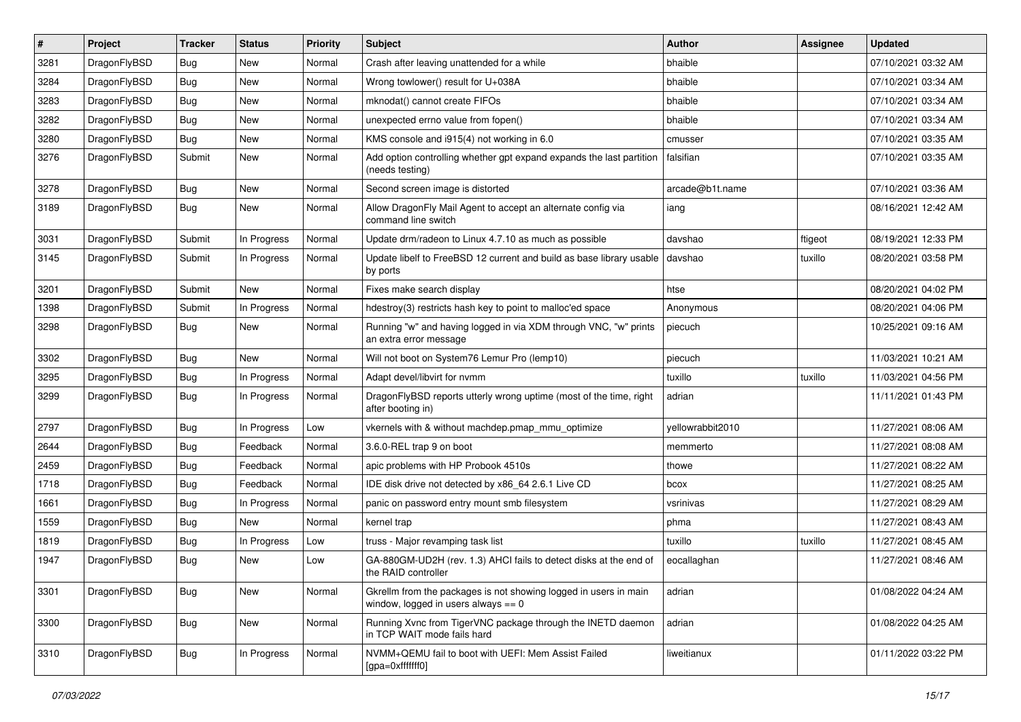| #    | Project      | <b>Tracker</b> | <b>Status</b> | <b>Priority</b> | Subject                                                                                                   | <b>Author</b>    | Assignee | <b>Updated</b>      |
|------|--------------|----------------|---------------|-----------------|-----------------------------------------------------------------------------------------------------------|------------------|----------|---------------------|
| 3281 | DragonFlyBSD | <b>Bug</b>     | New           | Normal          | Crash after leaving unattended for a while                                                                | bhaible          |          | 07/10/2021 03:32 AM |
| 3284 | DragonFlyBSD | <b>Bug</b>     | New           | Normal          | Wrong towlower() result for U+038A                                                                        | bhaible          |          | 07/10/2021 03:34 AM |
| 3283 | DragonFlyBSD | <b>Bug</b>     | New           | Normal          | mknodat() cannot create FIFOs                                                                             | bhaible          |          | 07/10/2021 03:34 AM |
| 3282 | DragonFlyBSD | <b>Bug</b>     | New           | Normal          | unexpected errno value from fopen()                                                                       | bhaible          |          | 07/10/2021 03:34 AM |
| 3280 | DragonFlyBSD | <b>Bug</b>     | New           | Normal          | KMS console and i915(4) not working in 6.0                                                                | cmusser          |          | 07/10/2021 03:35 AM |
| 3276 | DragonFlyBSD | Submit         | New           | Normal          | Add option controlling whether gpt expand expands the last partition<br>(needs testing)                   | falsifian        |          | 07/10/2021 03:35 AM |
| 3278 | DragonFlyBSD | <b>Bug</b>     | New           | Normal          | Second screen image is distorted                                                                          | arcade@b1t.name  |          | 07/10/2021 03:36 AM |
| 3189 | DragonFlyBSD | Bug            | New           | Normal          | Allow DragonFly Mail Agent to accept an alternate config via<br>command line switch                       | iang             |          | 08/16/2021 12:42 AM |
| 3031 | DragonFlyBSD | Submit         | In Progress   | Normal          | Update drm/radeon to Linux 4.7.10 as much as possible                                                     | davshao          | ftigeot  | 08/19/2021 12:33 PM |
| 3145 | DragonFlyBSD | Submit         | In Progress   | Normal          | Update libelf to FreeBSD 12 current and build as base library usable<br>by ports                          | davshao          | tuxillo  | 08/20/2021 03:58 PM |
| 3201 | DragonFlyBSD | Submit         | New           | Normal          | Fixes make search display                                                                                 | htse             |          | 08/20/2021 04:02 PM |
| 1398 | DragonFlyBSD | Submit         | In Progress   | Normal          | hdestroy(3) restricts hash key to point to malloc'ed space                                                | Anonymous        |          | 08/20/2021 04:06 PM |
| 3298 | DragonFlyBSD | Bug            | New           | Normal          | Running "w" and having logged in via XDM through VNC, "w" prints<br>an extra error message                | piecuch          |          | 10/25/2021 09:16 AM |
| 3302 | DragonFlyBSD | <b>Bug</b>     | New           | Normal          | Will not boot on System76 Lemur Pro (lemp10)                                                              | piecuch          |          | 11/03/2021 10:21 AM |
| 3295 | DragonFlyBSD | <b>Bug</b>     | In Progress   | Normal          | Adapt devel/libvirt for nvmm                                                                              | tuxillo          | tuxillo  | 11/03/2021 04:56 PM |
| 3299 | DragonFlyBSD | <b>Bug</b>     | In Progress   | Normal          | DragonFlyBSD reports utterly wrong uptime (most of the time, right<br>after booting in)                   | adrian           |          | 11/11/2021 01:43 PM |
| 2797 | DragonFlyBSD | Bug            | In Progress   | Low             | vkernels with & without machdep.pmap mmu optimize                                                         | vellowrabbit2010 |          | 11/27/2021 08:06 AM |
| 2644 | DragonFlyBSD | <b>Bug</b>     | Feedback      | Normal          | 3.6.0-REL trap 9 on boot                                                                                  | memmerto         |          | 11/27/2021 08:08 AM |
| 2459 | DragonFlyBSD | <b>Bug</b>     | Feedback      | Normal          | apic problems with HP Probook 4510s                                                                       | thowe            |          | 11/27/2021 08:22 AM |
| 1718 | DragonFlyBSD | <b>Bug</b>     | Feedback      | Normal          | IDE disk drive not detected by x86_64 2.6.1 Live CD                                                       | bcox             |          | 11/27/2021 08:25 AM |
| 1661 | DragonFlyBSD | <b>Bug</b>     | In Progress   | Normal          | panic on password entry mount smb filesystem                                                              | vsrinivas        |          | 11/27/2021 08:29 AM |
| 1559 | DragonFlyBSD | <b>Bug</b>     | New           | Normal          | kernel trap                                                                                               | phma             |          | 11/27/2021 08:43 AM |
| 1819 | DragonFlyBSD | <b>Bug</b>     | In Progress   | Low             | truss - Major revamping task list                                                                         | tuxillo          | tuxillo  | 11/27/2021 08:45 AM |
| 1947 | DragonFlyBSD | <b>Bug</b>     | <b>New</b>    | Low             | GA-880GM-UD2H (rev. 1.3) AHCI fails to detect disks at the end of<br>the RAID controller                  | eocallaghan      |          | 11/27/2021 08:46 AM |
| 3301 | DragonFlyBSD | Bug            | New           | Normal          | Gkrellm from the packages is not showing logged in users in main<br>window, logged in users always $== 0$ | adrian           |          | 01/08/2022 04:24 AM |
| 3300 | DragonFlyBSD | <b>Bug</b>     | New           | Normal          | Running Xvnc from TigerVNC package through the INETD daemon<br>in TCP WAIT mode fails hard                | adrian           |          | 01/08/2022 04:25 AM |
| 3310 | DragonFlyBSD | <b>Bug</b>     | In Progress   | Normal          | NVMM+QEMU fail to boot with UEFI: Mem Assist Failed<br>[gpa=0xfffffff0]                                   | liweitianux      |          | 01/11/2022 03:22 PM |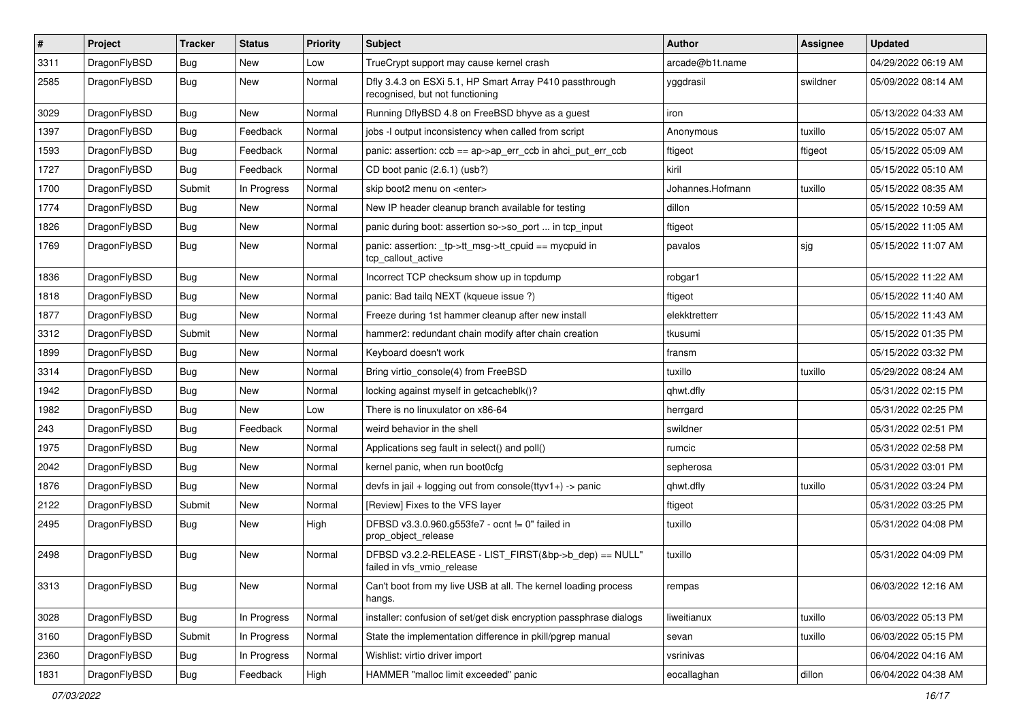| $\sharp$ | Project      | <b>Tracker</b> | <b>Status</b> | <b>Priority</b> | Subject                                                                                    | <b>Author</b>    | Assignee | <b>Updated</b>      |
|----------|--------------|----------------|---------------|-----------------|--------------------------------------------------------------------------------------------|------------------|----------|---------------------|
| 3311     | DragonFlyBSD | Bug            | New           | Low             | TrueCrypt support may cause kernel crash                                                   | arcade@b1t.name  |          | 04/29/2022 06:19 AM |
| 2585     | DragonFlyBSD | Bug            | New           | Normal          | Dfly 3.4.3 on ESXi 5.1, HP Smart Array P410 passthrough<br>recognised, but not functioning | yggdrasil        | swildner | 05/09/2022 08:14 AM |
| 3029     | DragonFlyBSD | Bug            | New           | Normal          | Running DflyBSD 4.8 on FreeBSD bhyve as a guest                                            | iron             |          | 05/13/2022 04:33 AM |
| 1397     | DragonFlyBSD | Bug            | Feedback      | Normal          | jobs -I output inconsistency when called from script                                       | Anonymous        | tuxillo  | 05/15/2022 05:07 AM |
| 1593     | DragonFlyBSD | Bug            | Feedback      | Normal          | panic: assertion: $ccb = ap$ ap- $\geq$ err $ccb$ in ahci put err $ccb$                    | ftigeot          | ftigeot  | 05/15/2022 05:09 AM |
| 1727     | DragonFlyBSD | Bug            | Feedback      | Normal          | CD boot panic (2.6.1) (usb?)                                                               | kiril            |          | 05/15/2022 05:10 AM |
| 1700     | DragonFlyBSD | Submit         | In Progress   | Normal          | skip boot2 menu on <enter></enter>                                                         | Johannes.Hofmann | tuxillo  | 05/15/2022 08:35 AM |
| 1774     | DragonFlyBSD | Bug            | New           | Normal          | New IP header cleanup branch available for testing                                         | dillon           |          | 05/15/2022 10:59 AM |
| 1826     | DragonFlyBSD | Bug            | <b>New</b>    | Normal          | panic during boot: assertion so->so_port  in tcp_input                                     | ftigeot          |          | 05/15/2022 11:05 AM |
| 1769     | DragonFlyBSD | Bug            | New           | Normal          | panic: assertion: _tp->tt_msg->tt_cpuid == mycpuid in<br>tcp_callout_active                | pavalos          | sjg      | 05/15/2022 11:07 AM |
| 1836     | DragonFlyBSD | Bug            | <b>New</b>    | Normal          | Incorrect TCP checksum show up in tcpdump                                                  | robgar1          |          | 05/15/2022 11:22 AM |
| 1818     | DragonFlyBSD | Bug            | New           | Normal          | panic: Bad tailg NEXT (kqueue issue ?)                                                     | ftigeot          |          | 05/15/2022 11:40 AM |
| 1877     | DragonFlyBSD | Bug            | New           | Normal          | Freeze during 1st hammer cleanup after new install                                         | elekktretterr    |          | 05/15/2022 11:43 AM |
| 3312     | DragonFlyBSD | Submit         | <b>New</b>    | Normal          | hammer2: redundant chain modify after chain creation                                       | tkusumi          |          | 05/15/2022 01:35 PM |
| 1899     | DragonFlyBSD | Bug            | New           | Normal          | Keyboard doesn't work                                                                      | fransm           |          | 05/15/2022 03:32 PM |
| 3314     | DragonFlyBSD | Bug            | <b>New</b>    | Normal          | Bring virtio_console(4) from FreeBSD                                                       | tuxillo          | tuxillo  | 05/29/2022 08:24 AM |
| 1942     | DragonFlyBSD | Bug            | New           | Normal          | locking against myself in getcacheblk()?                                                   | qhwt.dfly        |          | 05/31/2022 02:15 PM |
| 1982     | DragonFlyBSD | Bug            | New           | Low             | There is no linuxulator on x86-64                                                          | herrgard         |          | 05/31/2022 02:25 PM |
| 243      | DragonFlyBSD | Bug            | Feedback      | Normal          | weird behavior in the shell                                                                | swildner         |          | 05/31/2022 02:51 PM |
| 1975     | DragonFlyBSD | Bug            | New           | Normal          | Applications seg fault in select() and poll()                                              | rumcic           |          | 05/31/2022 02:58 PM |
| 2042     | DragonFlyBSD | Bug            | New           | Normal          | kernel panic, when run boot0cfg                                                            | sepherosa        |          | 05/31/2022 03:01 PM |
| 1876     | DragonFlyBSD | Bug            | New           | Normal          | devfs in jail + logging out from console(ttyv1+) -> panic                                  | qhwt.dfly        | tuxillo  | 05/31/2022 03:24 PM |
| 2122     | DragonFlyBSD | Submit         | <b>New</b>    | Normal          | [Review] Fixes to the VFS layer                                                            | ftigeot          |          | 05/31/2022 03:25 PM |
| 2495     | DragonFlyBSD | Bug            | New           | High            | DFBSD v3.3.0.960.g553fe7 - ocnt != 0" failed in<br>prop object release                     | tuxillo          |          | 05/31/2022 04:08 PM |
| 2498     | DragonFlyBSD | Bug            | New           | Normal          | DFBSD v3.2.2-RELEASE - LIST FIRST(&bp->b dep) == NULL"<br>failed in vfs_vmio_release       | tuxillo          |          | 05/31/2022 04:09 PM |
| 3313     | DragonFlyBSD | <b>Bug</b>     | New           | Normal          | Can't boot from my live USB at all. The kernel loading process<br>hangs.                   | rempas           |          | 06/03/2022 12:16 AM |
| 3028     | DragonFlyBSD | <b>Bug</b>     | In Progress   | Normal          | installer: confusion of set/get disk encryption passphrase dialogs                         | liweitianux      | tuxillo  | 06/03/2022 05:13 PM |
| 3160     | DragonFlyBSD | Submit         | In Progress   | Normal          | State the implementation difference in pkill/pgrep manual                                  | sevan            | tuxillo  | 06/03/2022 05:15 PM |
| 2360     | DragonFlyBSD | <b>Bug</b>     | In Progress   | Normal          | Wishlist: virtio driver import                                                             | vsrinivas        |          | 06/04/2022 04:16 AM |
| 1831     | DragonFlyBSD | Bug            | Feedback      | High            | HAMMER "malloc limit exceeded" panic                                                       | eocallaghan      | dillon   | 06/04/2022 04:38 AM |